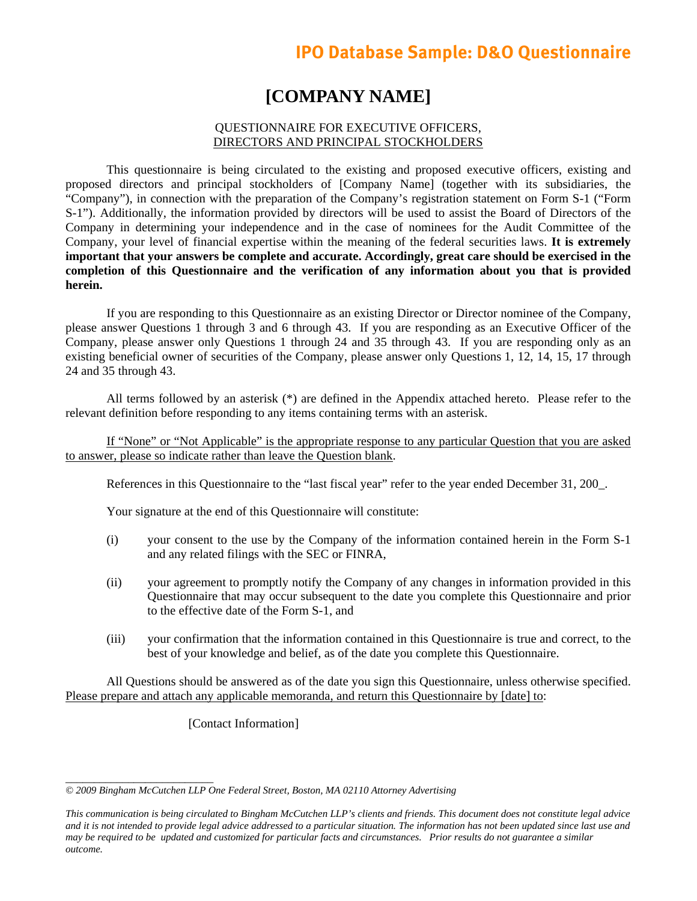# **IPO Database Sample: D&O Questionnaire**

# **[COMPANY NAME]**

## QUESTIONNAIRE FOR EXECUTIVE OFFICERS, DIRECTORS AND PRINCIPAL STOCKHOLDERS

This questionnaire is being circulated to the existing and proposed executive officers, existing and proposed directors and principal stockholders of [Company Name] (together with its subsidiaries, the "Company"), in connection with the preparation of the Company's registration statement on Form S-1 ("Form S-1"). Additionally, the information provided by directors will be used to assist the Board of Directors of the Company in determining your independence and in the case of nominees for the Audit Committee of the Company, your level of financial expertise within the meaning of the federal securities laws. **It is extremely important that your answers be complete and accurate. Accordingly, great care should be exercised in the completion of this Questionnaire and the verification of any information about you that is provided herein.**

If you are responding to this Questionnaire as an existing Director or Director nominee of the Company, please answer Questions 1 through 3 and 6 through 43. If you are responding as an Executive Officer of the Company, please answer only Questions 1 through 24 and 35 through 43. If you are responding only as an existing beneficial owner of securities of the Company, please answer only Questions 1, 12, 14, 15, 17 through 24 and 35 through 43.

All terms followed by an asterisk (\*) are defined in the Appendix attached hereto. Please refer to the relevant definition before responding to any items containing terms with an asterisk.

If "None" or "Not Applicable" is the appropriate response to any particular Question that you are asked to answer, please so indicate rather than leave the Question blank.

References in this Questionnaire to the "last fiscal year" refer to the year ended December 31, 200\_.

Your signature at the end of this Questionnaire will constitute:

- (i) your consent to the use by the Company of the information contained herein in the Form S-1 and any related filings with the SEC or FINRA,
- (ii) your agreement to promptly notify the Company of any changes in information provided in this Questionnaire that may occur subsequent to the date you complete this Questionnaire and prior to the effective date of the Form S-1, and
- (iii) your confirmation that the information contained in this Questionnaire is true and correct, to the best of your knowledge and belief, as of the date you complete this Questionnaire.

All Questions should be answered as of the date you sign this Questionnaire, unless otherwise specified. Please prepare and attach any applicable memoranda, and return this Questionnaire by [date] to:

[Contact Information]

*<sup>© 2009</sup> Bingham McCutchen LLP One Federal Street, Boston, MA 02110 Attorney Advertising* 

*This communication is being circulated to Bingham McCutchen LLP's clients and friends. This document does not constitute legal advice and it is not intended to provide legal advice addressed to a particular situation. The information has not been updated since last use and may be required to be updated and customized for particular facts and circumstances. Prior results do not guarantee a similar outcome.*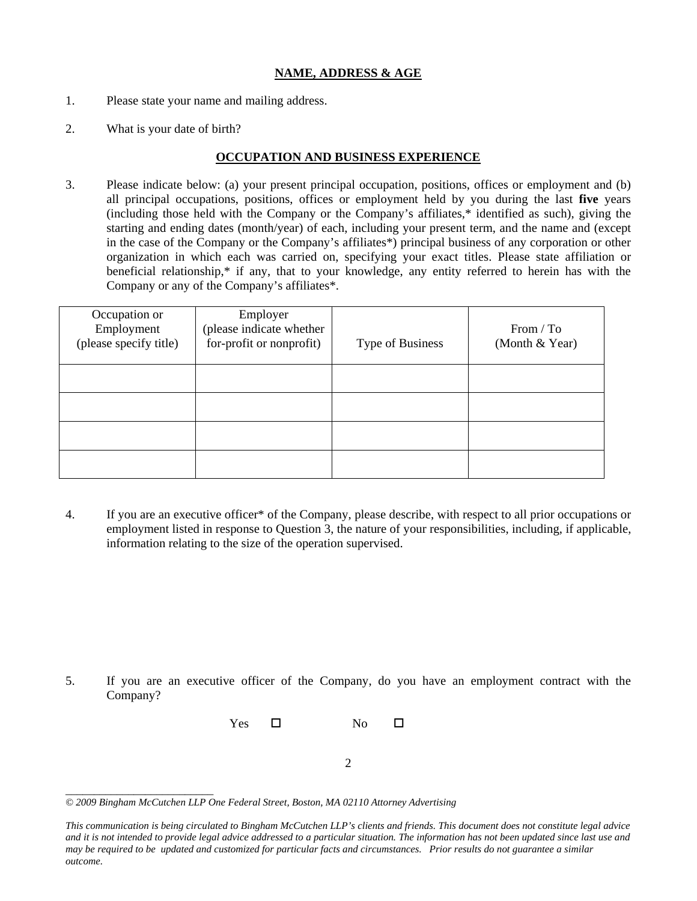## **NAME, ADDRESS & AGE**

- 1. Please state your name and mailing address.
- 2. What is your date of birth?

### **OCCUPATION AND BUSINESS EXPERIENCE**

3. Please indicate below: (a) your present principal occupation, positions, offices or employment and (b) all principal occupations, positions, offices or employment held by you during the last **five** years (including those held with the Company or the Company's affiliates,\* identified as such), giving the starting and ending dates (month/year) of each, including your present term, and the name and (except in the case of the Company or the Company's affiliates\*) principal business of any corporation or other organization in which each was carried on, specifying your exact titles. Please state affiliation or beneficial relationship,\* if any, that to your knowledge, any entity referred to herein has with the Company or any of the Company's affiliates\*.

| Occupation or<br>Employment<br>(please specify title) | Employer<br>(please indicate whether<br>for-profit or nonprofit) | Type of Business | From / To<br>(Month & Year) |
|-------------------------------------------------------|------------------------------------------------------------------|------------------|-----------------------------|
|                                                       |                                                                  |                  |                             |
|                                                       |                                                                  |                  |                             |
|                                                       |                                                                  |                  |                             |
|                                                       |                                                                  |                  |                             |

4. If you are an executive officer\* of the Company, please describe, with respect to all prior occupations or employment listed in response to Question 3, the nature of your responsibilities, including, if applicable, information relating to the size of the operation supervised.

5. If you are an executive officer of the Company, do you have an employment contract with the Company?



<sup>2</sup> 

*<sup>© 2009</sup> Bingham McCutchen LLP One Federal Street, Boston, MA 02110 Attorney Advertising* 

*This communication is being circulated to Bingham McCutchen LLP's clients and friends. This document does not constitute legal advice and it is not intended to provide legal advice addressed to a particular situation. The information has not been updated since last use and may be required to be updated and customized for particular facts and circumstances. Prior results do not guarantee a similar outcome.*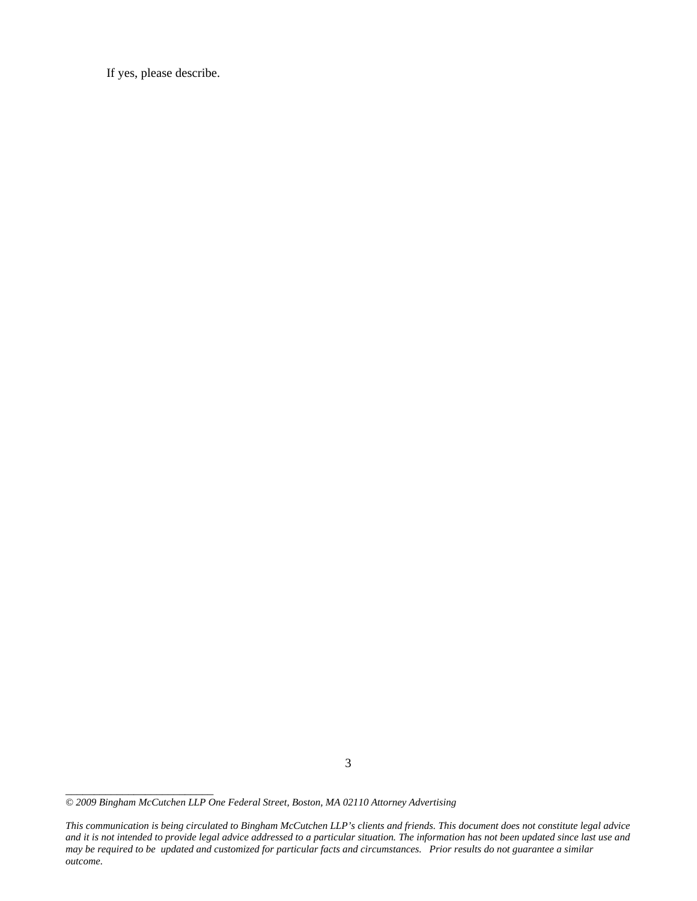If yes, please describe.

*\_\_\_\_\_\_\_\_\_\_\_\_\_\_\_\_\_\_\_\_\_\_\_\_\_\_* 

*This communication is being circulated to Bingham McCutchen LLP's clients and friends. This document does not constitute legal advice and it is not intended to provide legal advice addressed to a particular situation. The information has not been updated since last use and may be required to be updated and customized for particular facts and circumstances. Prior results do not guarantee a similar outcome.* 

*<sup>© 2009</sup> Bingham McCutchen LLP One Federal Street, Boston, MA 02110 Attorney Advertising*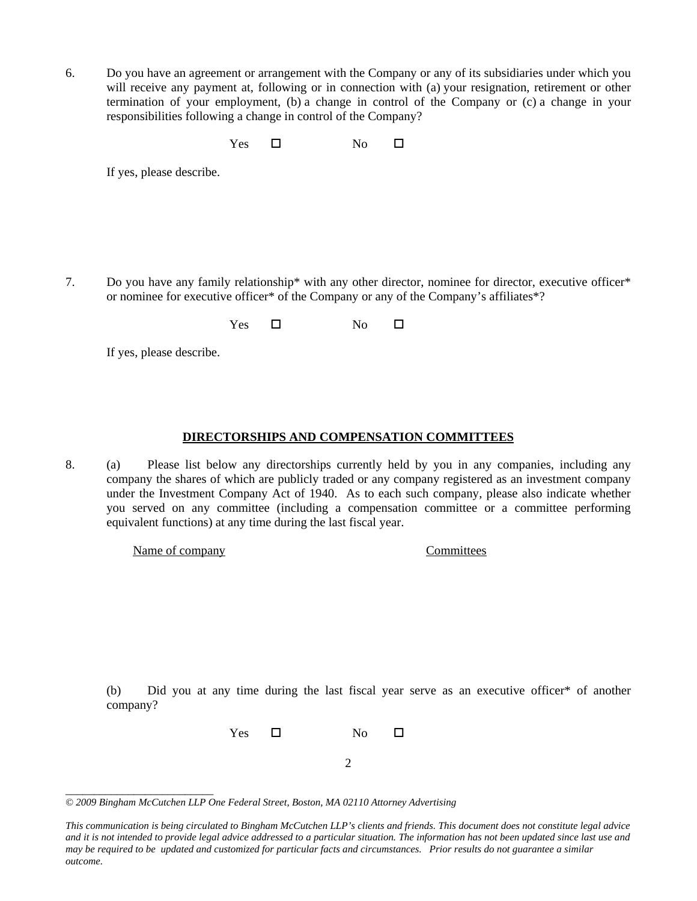6. Do you have an agreement or arrangement with the Company or any of its subsidiaries under which you will receive any payment at, following or in connection with (a) your resignation, retirement or other termination of your employment, (b) a change in control of the Company or (c) a change in your responsibilities following a change in control of the Company?

 $Yes \t\square$  No  $\square$ 

If yes, please describe.

7. Do you have any family relationship\* with any other director, nominee for director, executive officer\* or nominee for executive officer\* of the Company or any of the Company's affiliates\*?

 $Yes \t\square$  No  $\square$ 

If yes, please describe.

## **DIRECTORSHIPS AND COMPENSATION COMMITTEES**

8. (a) Please list below any directorships currently held by you in any companies, including any company the shares of which are publicly traded or any company registered as an investment company under the Investment Company Act of 1940. As to each such company, please also indicate whether you served on any committee (including a compensation committee or a committee performing equivalent functions) at any time during the last fiscal year.

Name of company Committees

(b) Did you at any time during the last fiscal year serve as an executive officer\* of another company?

Yes  $\square$  No  $\square$ 

2

*\_\_\_\_\_\_\_\_\_\_\_\_\_\_\_\_\_\_\_\_\_\_\_\_\_\_ © 2009 Bingham McCutchen LLP One Federal Street, Boston, MA 02110 Attorney Advertising* 

*This communication is being circulated to Bingham McCutchen LLP's clients and friends. This document does not constitute legal advice and it is not intended to provide legal advice addressed to a particular situation. The information has not been updated since last use and may be required to be updated and customized for particular facts and circumstances. Prior results do not guarantee a similar outcome.*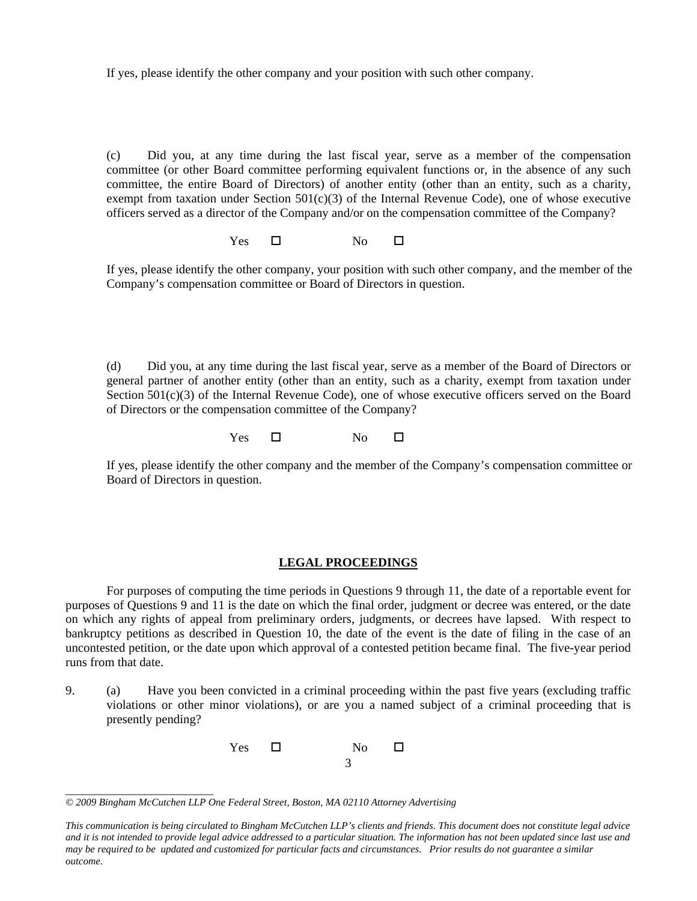If yes, please identify the other company and your position with such other company.

(c) Did you, at any time during the last fiscal year, serve as a member of the compensation committee (or other Board committee performing equivalent functions or, in the absence of any such committee, the entire Board of Directors) of another entity (other than an entity, such as a charity, exempt from taxation under Section  $501(c)(3)$  of the Internal Revenue Code), one of whose executive officers served as a director of the Company and/or on the compensation committee of the Company?

 $Yes \t\square$  No  $\square$ 

If yes, please identify the other company, your position with such other company, and the member of the Company's compensation committee or Board of Directors in question.

(d) Did you, at any time during the last fiscal year, serve as a member of the Board of Directors or general partner of another entity (other than an entity, such as a charity, exempt from taxation under Section  $501(c)(3)$  of the Internal Revenue Code), one of whose executive officers served on the Board of Directors or the compensation committee of the Company?

 $Yes \t\square$  No  $\square$ 

If yes, please identify the other company and the member of the Company's compensation committee or Board of Directors in question.

#### **LEGAL PROCEEDINGS**

For purposes of computing the time periods in Questions 9 through 11, the date of a reportable event for purposes of Questions 9 and 11 is the date on which the final order, judgment or decree was entered, or the date on which any rights of appeal from preliminary orders, judgments, or decrees have lapsed. With respect to bankruptcy petitions as described in Question 10, the date of the event is the date of filing in the case of an uncontested petition, or the date upon which approval of a contested petition became final. The five-year period runs from that date.

9. (a) Have you been convicted in a criminal proceeding within the past five years (excluding traffic violations or other minor violations), or are you a named subject of a criminal proceeding that is presently pending?



*<sup>© 2009</sup> Bingham McCutchen LLP One Federal Street, Boston, MA 02110 Attorney Advertising* 

*This communication is being circulated to Bingham McCutchen LLP's clients and friends. This document does not constitute legal advice and it is not intended to provide legal advice addressed to a particular situation. The information has not been updated since last use and may be required to be updated and customized for particular facts and circumstances. Prior results do not guarantee a similar outcome.*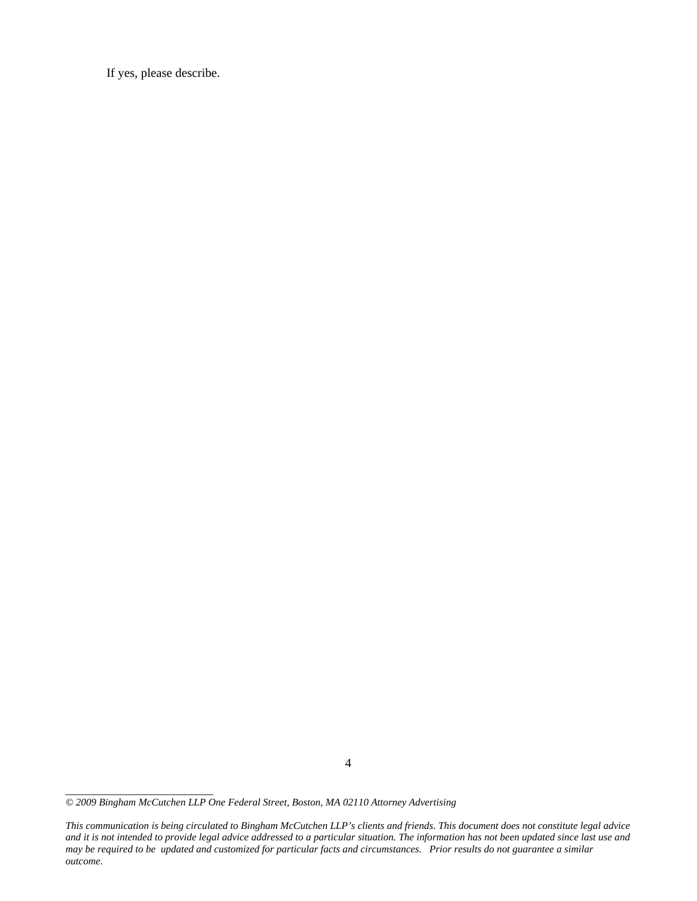If yes, please describe.

*\_\_\_\_\_\_\_\_\_\_\_\_\_\_\_\_\_\_\_\_\_\_\_\_\_\_* 

*This communication is being circulated to Bingham McCutchen LLP's clients and friends. This document does not constitute legal advice and it is not intended to provide legal advice addressed to a particular situation. The information has not been updated since last use and may be required to be updated and customized for particular facts and circumstances. Prior results do not guarantee a similar outcome.* 

*<sup>© 2009</sup> Bingham McCutchen LLP One Federal Street, Boston, MA 02110 Attorney Advertising*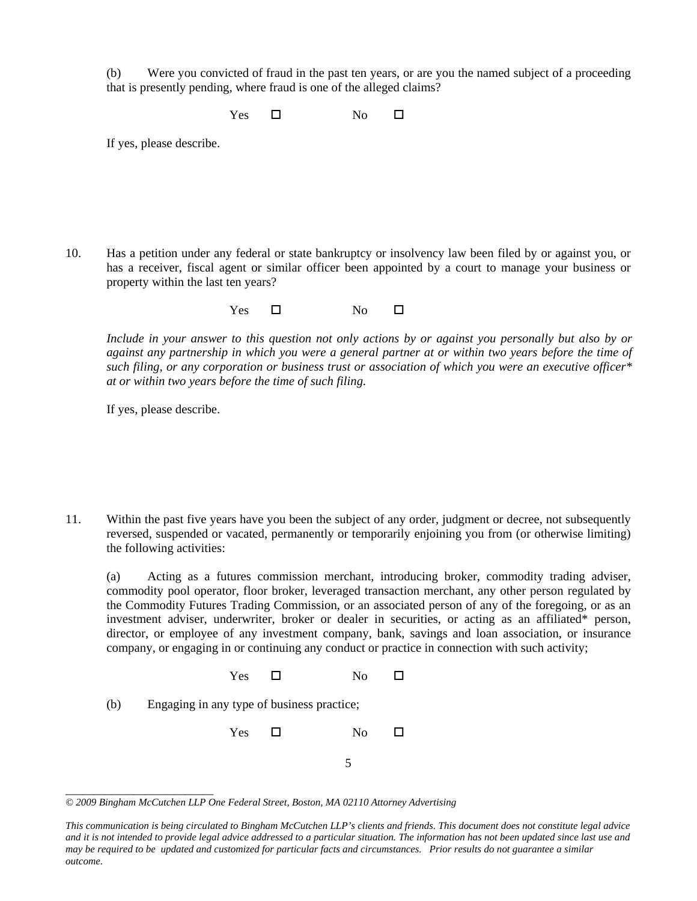(b) Were you convicted of fraud in the past ten years, or are you the named subject of a proceeding that is presently pending, where fraud is one of the alleged claims?

 $Yes \t\square$  No  $\square$ 

If yes, please describe.

10. Has a petition under any federal or state bankruptcy or insolvency law been filed by or against you, or has a receiver, fiscal agent or similar officer been appointed by a court to manage your business or property within the last ten years?

 $Yes \t\square$  No  $\square$ 

*Include in your answer to this question not only actions by or against you personally but also by or against any partnership in which you were a general partner at or within two years before the time of such filing, or any corporation or business trust or association of which you were an executive officer\* at or within two years before the time of such filing.*

If yes, please describe.

11. Within the past five years have you been the subject of any order, judgment or decree, not subsequently reversed, suspended or vacated, permanently or temporarily enjoining you from (or otherwise limiting) the following activities:

(a) Acting as a futures commission merchant, introducing broker, commodity trading adviser, commodity pool operator, floor broker, leveraged transaction merchant, any other person regulated by the Commodity Futures Trading Commission, or an associated person of any of the foregoing, or as an investment adviser, underwriter, broker or dealer in securities, or acting as an affiliated\* person, director, or employee of any investment company, bank, savings and loan association, or insurance company, or engaging in or continuing any conduct or practice in connection with such activity;

- $Yes \t\square$  No  $\square$
- (b) Engaging in any type of business practice;

 $Yes \t\square$  No  $\square$ 

5

*\_\_\_\_\_\_\_\_\_\_\_\_\_\_\_\_\_\_\_\_\_\_\_\_\_\_ © 2009 Bingham McCutchen LLP One Federal Street, Boston, MA 02110 Attorney Advertising* 

*This communication is being circulated to Bingham McCutchen LLP's clients and friends. This document does not constitute legal advice and it is not intended to provide legal advice addressed to a particular situation. The information has not been updated since last use and may be required to be updated and customized for particular facts and circumstances. Prior results do not guarantee a similar outcome.*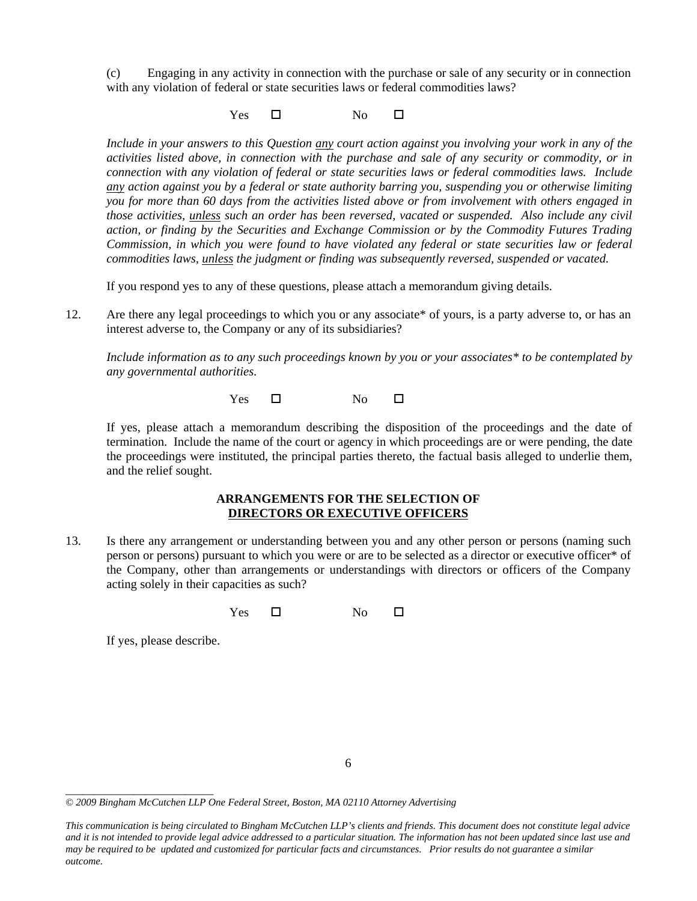(c) Engaging in any activity in connection with the purchase or sale of any security or in connection with any violation of federal or state securities laws or federal commodities laws?

 $Yes \t\square$  No  $\square$ 

*Include in your answers to this Question any court action against you involving your work in any of the activities listed above, in connection with the purchase and sale of any security or commodity, or in connection with any violation of federal or state securities laws or federal commodities laws. Include any action against you by a federal or state authority barring you, suspending you or otherwise limiting you for more than 60 days from the activities listed above or from involvement with others engaged in those activities, unless such an order has been reversed, vacated or suspended. Also include any civil action, or finding by the Securities and Exchange Commission or by the Commodity Futures Trading Commission, in which you were found to have violated any federal or state securities law or federal commodities laws, unless the judgment or finding was subsequently reversed, suspended or vacated.* 

If you respond yes to any of these questions, please attach a memorandum giving details.

12. Are there any legal proceedings to which you or any associate\* of yours, is a party adverse to, or has an interest adverse to, the Company or any of its subsidiaries?

*Include information as to any such proceedings known by you or your associates\* to be contemplated by any governmental authorities.* 

 $Yes \t\square$  No  $\square$ 

If yes, please attach a memorandum describing the disposition of the proceedings and the date of termination. Include the name of the court or agency in which proceedings are or were pending, the date the proceedings were instituted, the principal parties thereto, the factual basis alleged to underlie them, and the relief sought.

## **ARRANGEMENTS FOR THE SELECTION OF DIRECTORS OR EXECUTIVE OFFICERS**

13. Is there any arrangement or understanding between you and any other person or persons (naming such person or persons) pursuant to which you were or are to be selected as a director or executive officer\* of the Company, other than arrangements or understandings with directors or officers of the Company acting solely in their capacities as such?

 $Yes \t\square$  No  $\square$ 

If yes, please describe.

<sup>6</sup> 

*<sup>© 2009</sup> Bingham McCutchen LLP One Federal Street, Boston, MA 02110 Attorney Advertising* 

*This communication is being circulated to Bingham McCutchen LLP's clients and friends. This document does not constitute legal advice and it is not intended to provide legal advice addressed to a particular situation. The information has not been updated since last use and may be required to be updated and customized for particular facts and circumstances. Prior results do not guarantee a similar outcome.*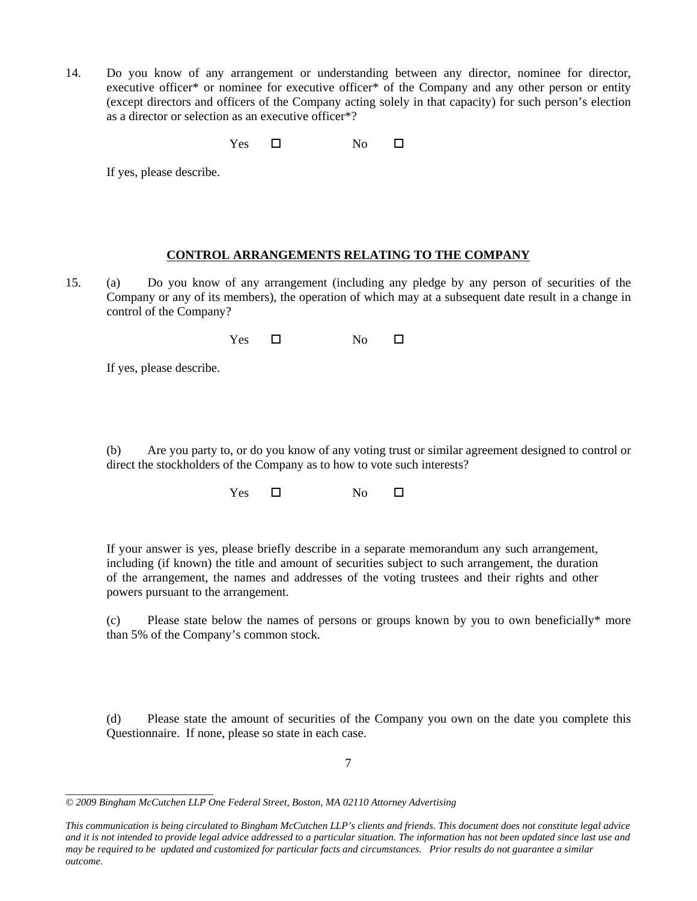14. Do you know of any arrangement or understanding between any director, nominee for director, executive officer\* or nominee for executive officer\* of the Company and any other person or entity (except directors and officers of the Company acting solely in that capacity) for such person's election as a director or selection as an executive officer\*?

 $Yes \t\square$  No  $\square$ 

If yes, please describe.

### **CONTROL ARRANGEMENTS RELATING TO THE COMPANY**

15. (a) Do you know of any arrangement (including any pledge by any person of securities of the Company or any of its members), the operation of which may at a subsequent date result in a change in control of the Company?

| Yes | No |  |
|-----|----|--|
|     |    |  |

If yes, please describe.

(b) Are you party to, or do you know of any voting trust or similar agreement designed to control or direct the stockholders of the Company as to how to vote such interests?

 $Yes \t\square$  No  $\square$ 

If your answer is yes, please briefly describe in a separate memorandum any such arrangement, including (if known) the title and amount of securities subject to such arrangement, the duration of the arrangement, the names and addresses of the voting trustees and their rights and other powers pursuant to the arrangement.

(c) Please state below the names of persons or groups known by you to own beneficially\* more than 5% of the Company's common stock.

(d) Please state the amount of securities of the Company you own on the date you complete this Questionnaire. If none, please so state in each case.

*\_\_\_\_\_\_\_\_\_\_\_\_\_\_\_\_\_\_\_\_\_\_\_\_\_\_ © 2009 Bingham McCutchen LLP One Federal Street, Boston, MA 02110 Attorney Advertising* 

*This communication is being circulated to Bingham McCutchen LLP's clients and friends. This document does not constitute legal advice and it is not intended to provide legal advice addressed to a particular situation. The information has not been updated since last use and may be required to be updated and customized for particular facts and circumstances. Prior results do not guarantee a similar outcome.*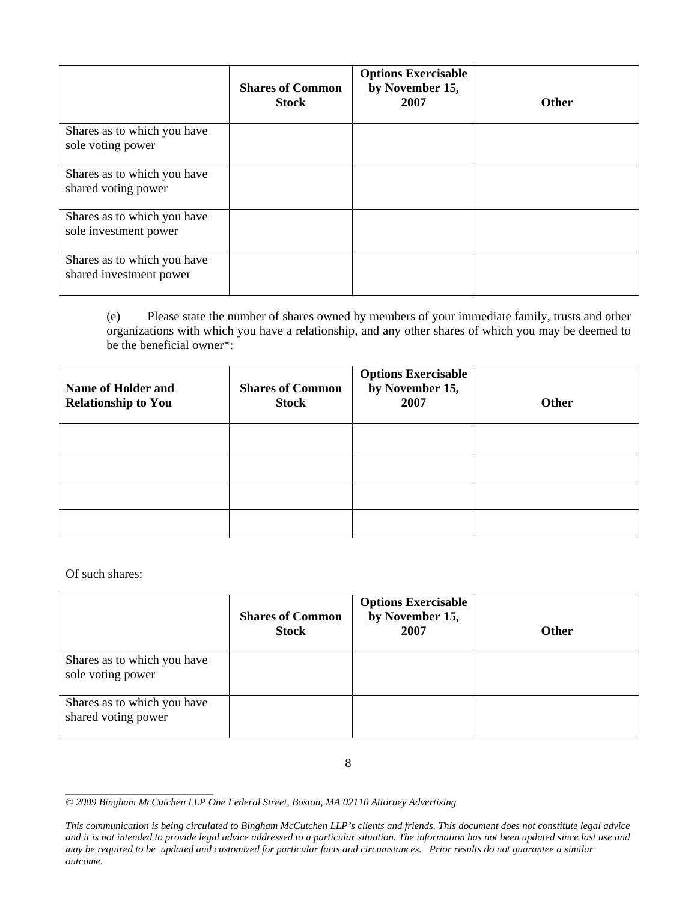|                                                        | <b>Shares of Common</b><br><b>Stock</b> | <b>Options Exercisable</b><br>by November 15,<br>2007 | <b>Other</b> |
|--------------------------------------------------------|-----------------------------------------|-------------------------------------------------------|--------------|
| Shares as to which you have<br>sole voting power       |                                         |                                                       |              |
| Shares as to which you have<br>shared voting power     |                                         |                                                       |              |
| Shares as to which you have<br>sole investment power   |                                         |                                                       |              |
| Shares as to which you have<br>shared investment power |                                         |                                                       |              |

(e) Please state the number of shares owned by members of your immediate family, trusts and other organizations with which you have a relationship, and any other shares of which you may be deemed to be the beneficial owner\*:

| <b>Name of Holder and</b><br><b>Relationship to You</b> | <b>Shares of Common</b><br><b>Stock</b> | <b>Options Exercisable</b><br>by November 15,<br>2007 | <b>Other</b> |
|---------------------------------------------------------|-----------------------------------------|-------------------------------------------------------|--------------|
|                                                         |                                         |                                                       |              |
|                                                         |                                         |                                                       |              |
|                                                         |                                         |                                                       |              |
|                                                         |                                         |                                                       |              |

Of such shares:

|                                                    | <b>Shares of Common</b><br><b>Stock</b> | <b>Options Exercisable</b><br>by November 15,<br>2007 | <b>Other</b> |
|----------------------------------------------------|-----------------------------------------|-------------------------------------------------------|--------------|
| Shares as to which you have<br>sole voting power   |                                         |                                                       |              |
| Shares as to which you have<br>shared voting power |                                         |                                                       |              |

8

*\_\_\_\_\_\_\_\_\_\_\_\_\_\_\_\_\_\_\_\_\_\_\_\_\_\_ © 2009 Bingham McCutchen LLP One Federal Street, Boston, MA 02110 Attorney Advertising* 

*This communication is being circulated to Bingham McCutchen LLP's clients and friends. This document does not constitute legal advice and it is not intended to provide legal advice addressed to a particular situation. The information has not been updated since last use and may be required to be updated and customized for particular facts and circumstances. Prior results do not guarantee a similar outcome.*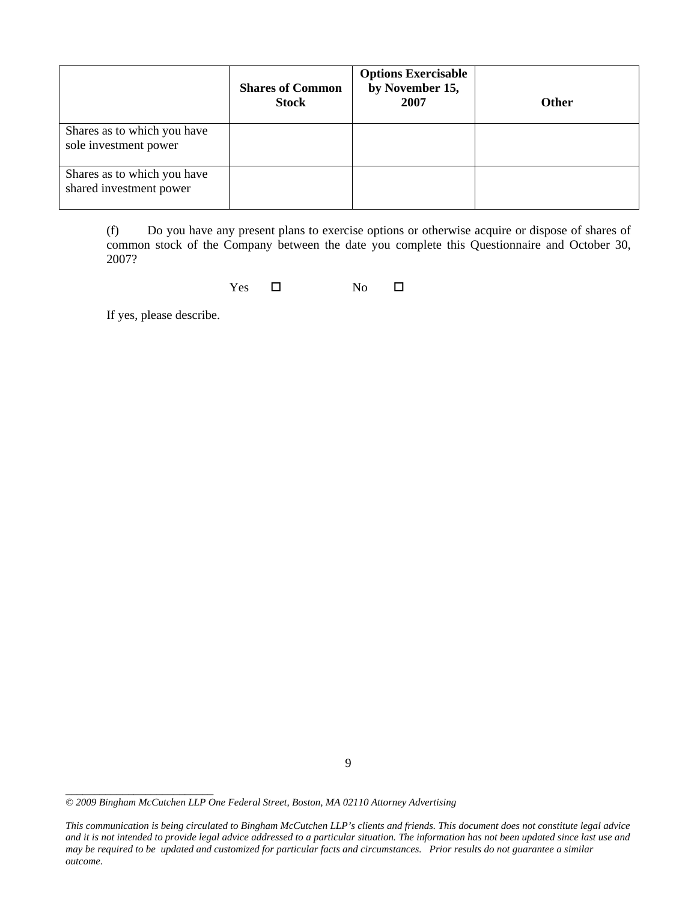|                                                        | <b>Shares of Common</b><br><b>Stock</b> | <b>Options Exercisable</b><br>by November 15,<br>2007 | <b>Other</b> |
|--------------------------------------------------------|-----------------------------------------|-------------------------------------------------------|--------------|
| Shares as to which you have<br>sole investment power   |                                         |                                                       |              |
| Shares as to which you have<br>shared investment power |                                         |                                                       |              |

(f) Do you have any present plans to exercise options or otherwise acquire or dispose of shares of common stock of the Company between the date you complete this Questionnaire and October 30, 2007?

 $Yes \t\square$  No  $\square$ 

If yes, please describe.

*<sup>© 2009</sup> Bingham McCutchen LLP One Federal Street, Boston, MA 02110 Attorney Advertising* 

*This communication is being circulated to Bingham McCutchen LLP's clients and friends. This document does not constitute legal advice and it is not intended to provide legal advice addressed to a particular situation. The information has not been updated since last use and may be required to be updated and customized for particular facts and circumstances. Prior results do not guarantee a similar outcome.*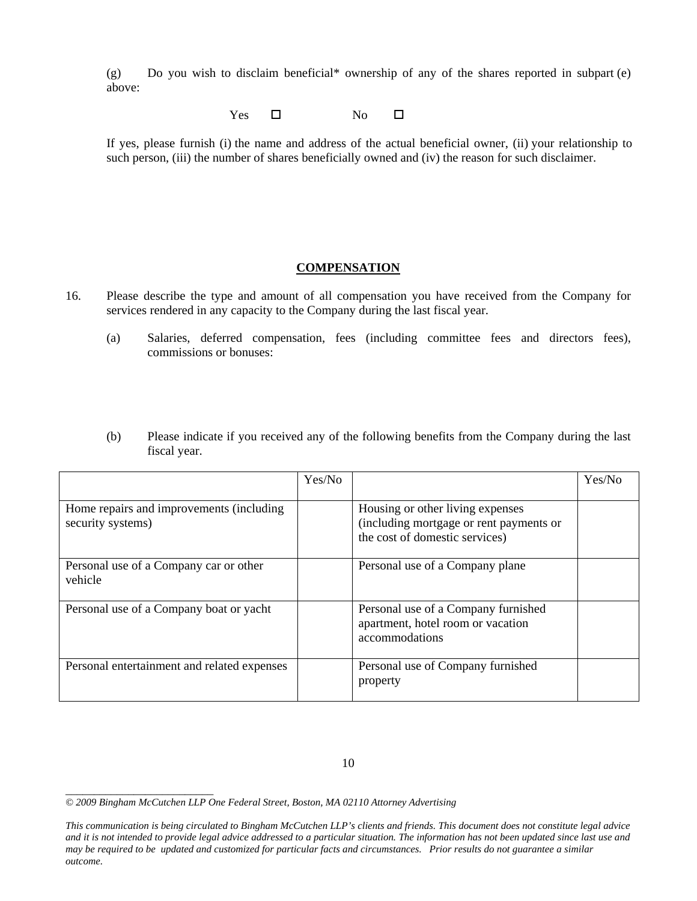(g) Do you wish to disclaim beneficial\* ownership of any of the shares reported in subpart (e) above:

 $Yes \t\square$  No  $\square$ 

If yes, please furnish (i) the name and address of the actual beneficial owner, (ii) your relationship to such person, (iii) the number of shares beneficially owned and (iv) the reason for such disclaimer.

#### **COMPENSATION**

- 16. Please describe the type and amount of all compensation you have received from the Company for services rendered in any capacity to the Company during the last fiscal year.
	- (a) Salaries, deferred compensation, fees (including committee fees and directors fees), commissions or bonuses:
	- (b) Please indicate if you received any of the following benefits from the Company during the last fiscal year.

|                                                               | Yes/No |                                                                                                               | Yes/No |
|---------------------------------------------------------------|--------|---------------------------------------------------------------------------------------------------------------|--------|
| Home repairs and improvements (including<br>security systems) |        | Housing or other living expenses<br>(including mortgage or rent payments or<br>the cost of domestic services) |        |
| Personal use of a Company car or other<br>vehicle             |        | Personal use of a Company plane                                                                               |        |
| Personal use of a Company boat or yacht                       |        | Personal use of a Company furnished<br>apartment, hotel room or vacation<br>accommodations                    |        |
| Personal entertainment and related expenses                   |        | Personal use of Company furnished<br>property                                                                 |        |

*<sup>© 2009</sup> Bingham McCutchen LLP One Federal Street, Boston, MA 02110 Attorney Advertising* 

*This communication is being circulated to Bingham McCutchen LLP's clients and friends. This document does not constitute legal advice and it is not intended to provide legal advice addressed to a particular situation. The information has not been updated since last use and may be required to be updated and customized for particular facts and circumstances. Prior results do not guarantee a similar outcome.*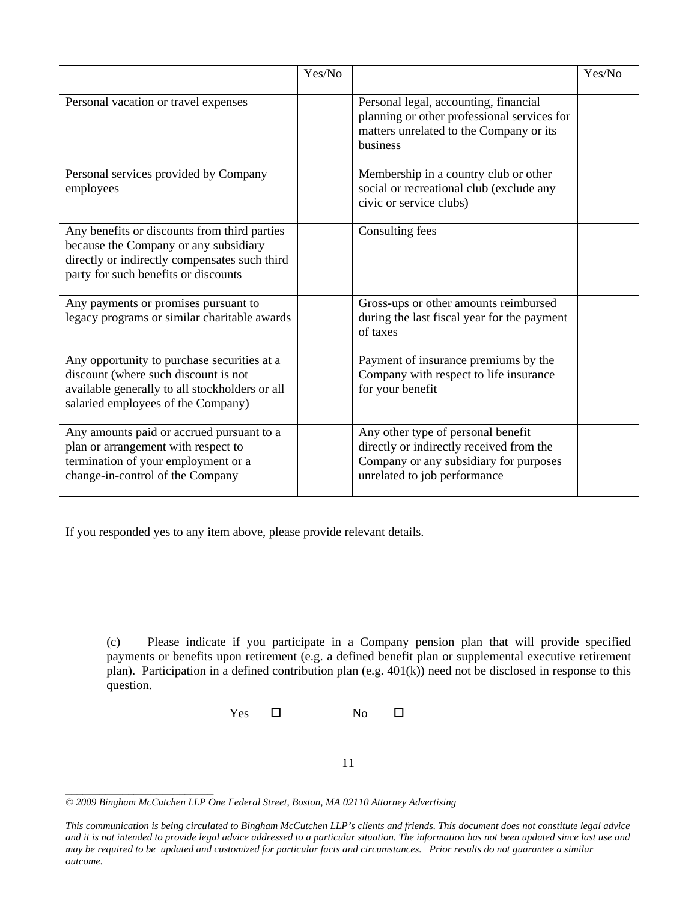|                                                                                                                                                                                | Yes/No |                                                                                                                                                          | Yes/No |
|--------------------------------------------------------------------------------------------------------------------------------------------------------------------------------|--------|----------------------------------------------------------------------------------------------------------------------------------------------------------|--------|
| Personal vacation or travel expenses                                                                                                                                           |        | Personal legal, accounting, financial<br>planning or other professional services for<br>matters unrelated to the Company or its<br>business              |        |
| Personal services provided by Company<br>employees                                                                                                                             |        | Membership in a country club or other<br>social or recreational club (exclude any<br>civic or service clubs)                                             |        |
| Any benefits or discounts from third parties<br>because the Company or any subsidiary<br>directly or indirectly compensates such third<br>party for such benefits or discounts |        | Consulting fees                                                                                                                                          |        |
| Any payments or promises pursuant to<br>legacy programs or similar charitable awards                                                                                           |        | Gross-ups or other amounts reimbursed<br>during the last fiscal year for the payment<br>of taxes                                                         |        |
| Any opportunity to purchase securities at a<br>discount (where such discount is not<br>available generally to all stockholders or all<br>salaried employees of the Company)    |        | Payment of insurance premiums by the<br>Company with respect to life insurance<br>for your benefit                                                       |        |
| Any amounts paid or accrued pursuant to a<br>plan or arrangement with respect to<br>termination of your employment or a<br>change-in-control of the Company                    |        | Any other type of personal benefit<br>directly or indirectly received from the<br>Company or any subsidiary for purposes<br>unrelated to job performance |        |

If you responded yes to any item above, please provide relevant details.

(c) Please indicate if you participate in a Company pension plan that will provide specified payments or benefits upon retirement (e.g. a defined benefit plan or supplemental executive retirement plan). Participation in a defined contribution plan (e.g. 401(k)) need not be disclosed in response to this question.

Yes  $\square$  No  $\square$ 

11

*<sup>© 2009</sup> Bingham McCutchen LLP One Federal Street, Boston, MA 02110 Attorney Advertising* 

*This communication is being circulated to Bingham McCutchen LLP's clients and friends. This document does not constitute legal advice and it is not intended to provide legal advice addressed to a particular situation. The information has not been updated since last use and may be required to be updated and customized for particular facts and circumstances. Prior results do not guarantee a similar outcome.*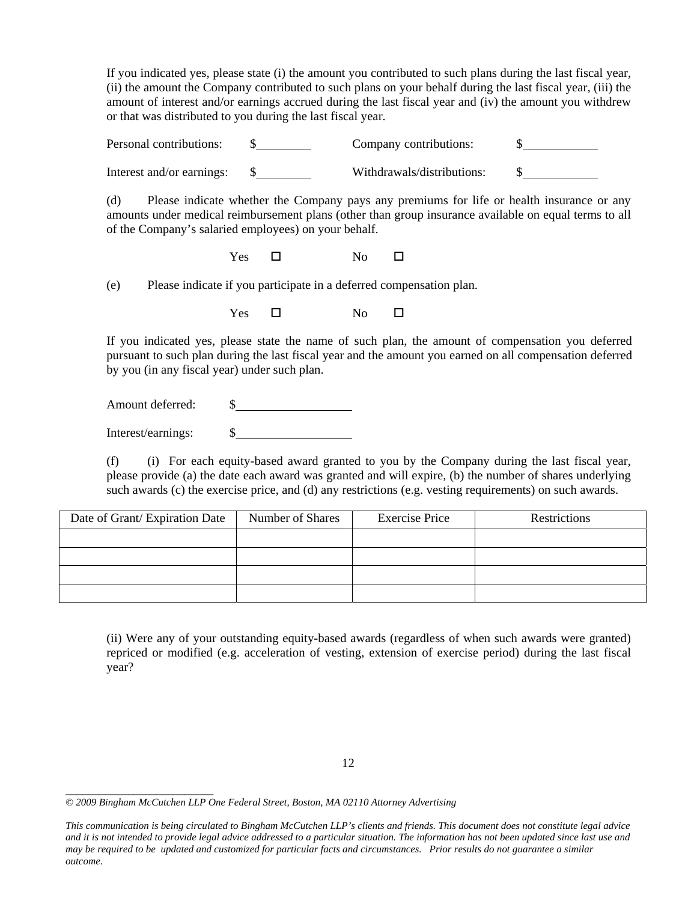If you indicated yes, please state (i) the amount you contributed to such plans during the last fiscal year, (ii) the amount the Company contributed to such plans on your behalf during the last fiscal year, (iii) the amount of interest and/or earnings accrued during the last fiscal year and (iv) the amount you withdrew or that was distributed to you during the last fiscal year.

Personal contributions:  $\qquad \qquad \S$  Company contributions:  $\qquad \qquad \S$ Interest and/or earnings: \$ Withdrawals/distributions: \$

(d) Please indicate whether the Company pays any premiums for life or health insurance or any amounts under medical reimbursement plans (other than group insurance available on equal terms to all of the Company's salaried employees) on your behalf.

Yes No

(e) Please indicate if you participate in a deferred compensation plan.

 $Yes \t\square$  No  $\square$ 

If you indicated yes, please state the name of such plan, the amount of compensation you deferred pursuant to such plan during the last fiscal year and the amount you earned on all compensation deferred by you (in any fiscal year) under such plan.

Amount deferred:  $\qquad \qquad \$\qquad$ 

Interest/earnings: \$

(f) (i) For each equity-based award granted to you by the Company during the last fiscal year, please provide (a) the date each award was granted and will expire, (b) the number of shares underlying such awards (c) the exercise price, and (d) any restrictions (e.g. vesting requirements) on such awards.

| Date of Grant/Expiration Date | Number of Shares | <b>Exercise Price</b> | <b>Restrictions</b> |
|-------------------------------|------------------|-----------------------|---------------------|
|                               |                  |                       |                     |
|                               |                  |                       |                     |
|                               |                  |                       |                     |
|                               |                  |                       |                     |

(ii) Were any of your outstanding equity-based awards (regardless of when such awards were granted) repriced or modified (e.g. acceleration of vesting, extension of exercise period) during the last fiscal year?

*\_\_\_\_\_\_\_\_\_\_\_\_\_\_\_\_\_\_\_\_\_\_\_\_\_\_ © 2009 Bingham McCutchen LLP One Federal Street, Boston, MA 02110 Attorney Advertising* 

*This communication is being circulated to Bingham McCutchen LLP's clients and friends. This document does not constitute legal advice and it is not intended to provide legal advice addressed to a particular situation. The information has not been updated since last use and may be required to be updated and customized for particular facts and circumstances. Prior results do not guarantee a similar outcome.*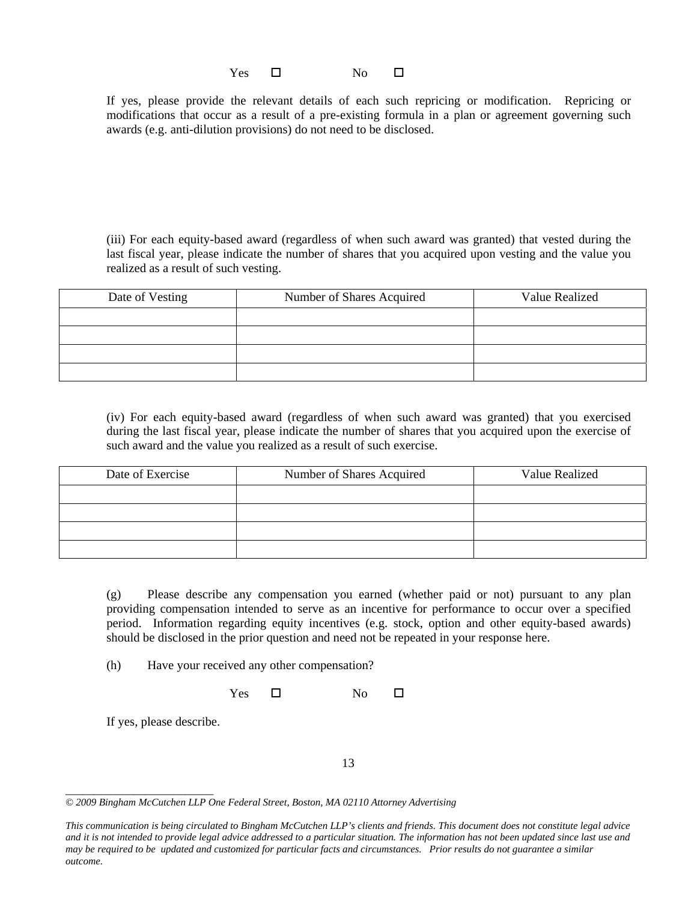$Yes \t\square$  No  $\square$ 

If yes, please provide the relevant details of each such repricing or modification. Repricing or modifications that occur as a result of a pre-existing formula in a plan or agreement governing such awards (e.g. anti-dilution provisions) do not need to be disclosed.

(iii) For each equity-based award (regardless of when such award was granted) that vested during the last fiscal year, please indicate the number of shares that you acquired upon vesting and the value you realized as a result of such vesting.

| Date of Vesting | Number of Shares Acquired | Value Realized |
|-----------------|---------------------------|----------------|
|                 |                           |                |
|                 |                           |                |
|                 |                           |                |
|                 |                           |                |

(iv) For each equity-based award (regardless of when such award was granted) that you exercised during the last fiscal year, please indicate the number of shares that you acquired upon the exercise of such award and the value you realized as a result of such exercise.

| Date of Exercise | Number of Shares Acquired | Value Realized |
|------------------|---------------------------|----------------|
|                  |                           |                |
|                  |                           |                |
|                  |                           |                |
|                  |                           |                |

(g) Please describe any compensation you earned (whether paid or not) pursuant to any plan providing compensation intended to serve as an incentive for performance to occur over a specified period. Information regarding equity incentives (e.g. stock, option and other equity-based awards) should be disclosed in the prior question and need not be repeated in your response here.

(h) Have your received any other compensation?

 $Yes \t\square$  No  $\square$ 

If yes, please describe.

13

*\_\_\_\_\_\_\_\_\_\_\_\_\_\_\_\_\_\_\_\_\_\_\_\_\_\_ © 2009 Bingham McCutchen LLP One Federal Street, Boston, MA 02110 Attorney Advertising* 

*This communication is being circulated to Bingham McCutchen LLP's clients and friends. This document does not constitute legal advice and it is not intended to provide legal advice addressed to a particular situation. The information has not been updated since last use and may be required to be updated and customized for particular facts and circumstances. Prior results do not guarantee a similar outcome.*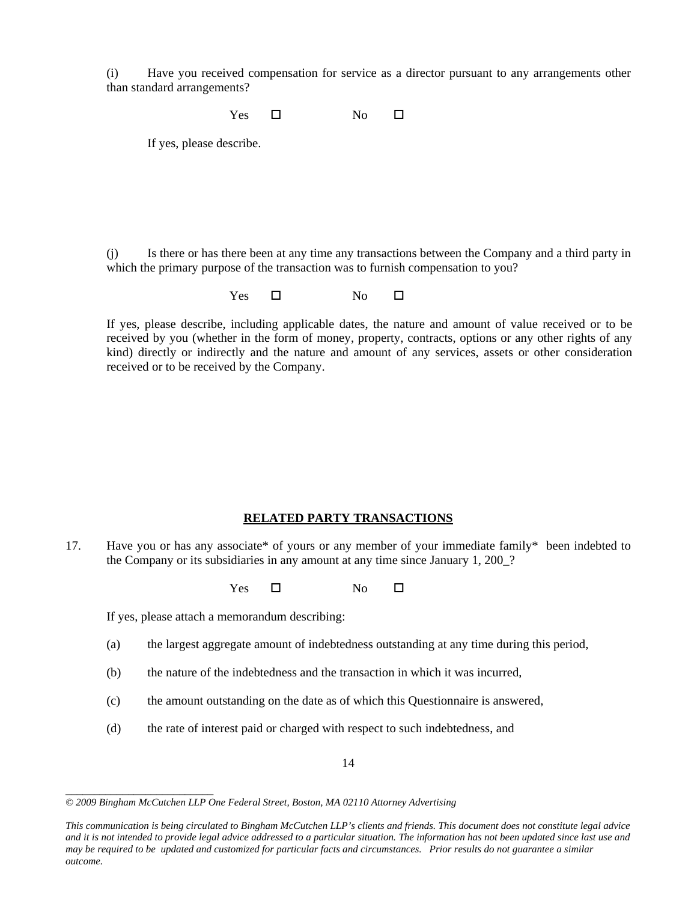(i) Have you received compensation for service as a director pursuant to any arrangements other than standard arrangements?

 $Yes \t\square$  No  $\square$ 

If yes, please describe.

(j) Is there or has there been at any time any transactions between the Company and a third party in which the primary purpose of the transaction was to furnish compensation to you?

Yes No

If yes, please describe, including applicable dates, the nature and amount of value received or to be received by you (whether in the form of money, property, contracts, options or any other rights of any kind) directly or indirectly and the nature and amount of any services, assets or other consideration received or to be received by the Company.

#### **RELATED PARTY TRANSACTIONS**

17. Have you or has any associate\* of yours or any member of your immediate family\* been indebted to the Company or its subsidiaries in any amount at any time since January 1, 200\_?

 $Yes \t\square$  No  $\square$ 

If yes, please attach a memorandum describing:

- (a) the largest aggregate amount of indebtedness outstanding at any time during this period,
- (b) the nature of the indebtedness and the transaction in which it was incurred,
- (c) the amount outstanding on the date as of which this Questionnaire is answered,
- (d) the rate of interest paid or charged with respect to such indebtedness, and

14

*\_\_\_\_\_\_\_\_\_\_\_\_\_\_\_\_\_\_\_\_\_\_\_\_\_\_ © 2009 Bingham McCutchen LLP One Federal Street, Boston, MA 02110 Attorney Advertising* 

*This communication is being circulated to Bingham McCutchen LLP's clients and friends. This document does not constitute legal advice and it is not intended to provide legal advice addressed to a particular situation. The information has not been updated since last use and may be required to be updated and customized for particular facts and circumstances. Prior results do not guarantee a similar outcome.*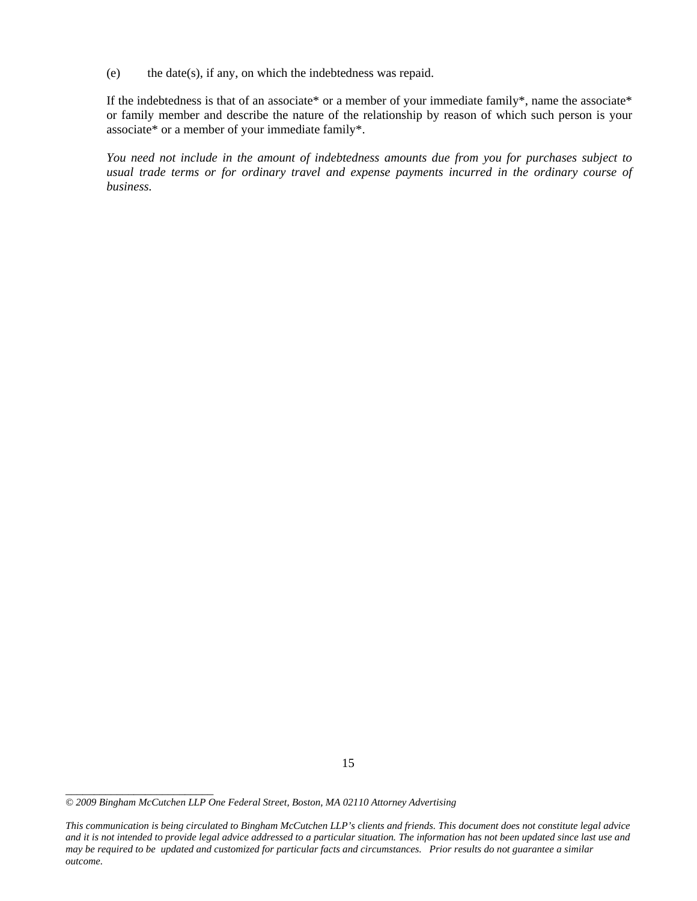(e) the date(s), if any, on which the indebtedness was repaid.

If the indebtedness is that of an associate\* or a member of your immediate family\*, name the associate\* or family member and describe the nature of the relationship by reason of which such person is your associate\* or a member of your immediate family\*.

*You need not include in the amount of indebtedness amounts due from you for purchases subject to usual trade terms or for ordinary travel and expense payments incurred in the ordinary course of business.* 

*<sup>© 2009</sup> Bingham McCutchen LLP One Federal Street, Boston, MA 02110 Attorney Advertising* 

*This communication is being circulated to Bingham McCutchen LLP's clients and friends. This document does not constitute legal advice and it is not intended to provide legal advice addressed to a particular situation. The information has not been updated since last use and may be required to be updated and customized for particular facts and circumstances. Prior results do not guarantee a similar outcome.*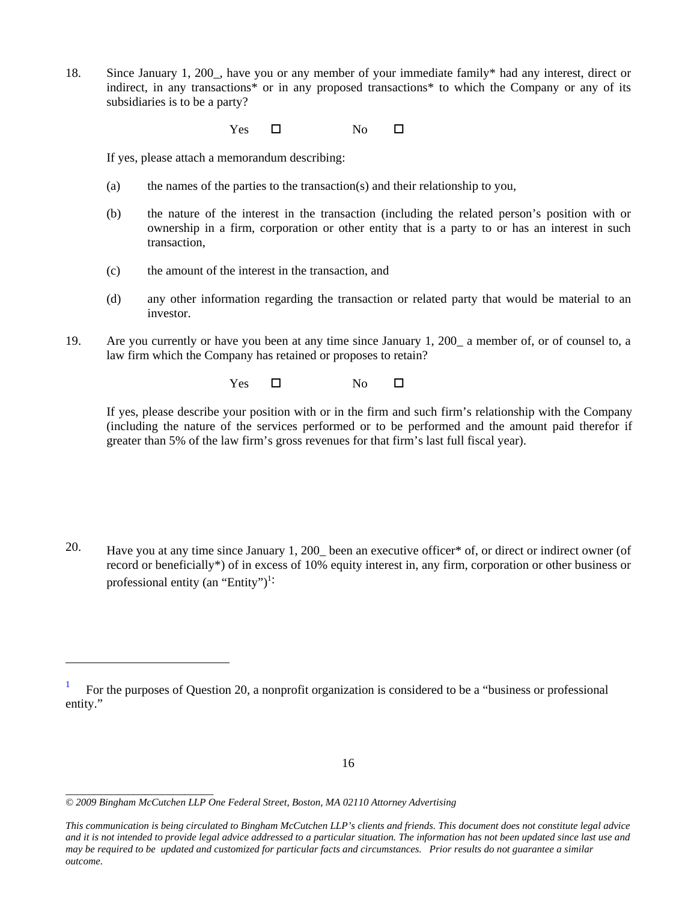18. Since January 1, 200\_, have you or any member of your immediate family\* had any interest, direct or indirect, in any transactions\* or in any proposed transactions\* to which the Company or any of its subsidiaries is to be a party?

 $Yes \t\square$  No  $\square$ 

If yes, please attach a memorandum describing:

- (a) the names of the parties to the transaction(s) and their relationship to you,
- (b) the nature of the interest in the transaction (including the related person's position with or ownership in a firm, corporation or other entity that is a party to or has an interest in such transaction,
- (c) the amount of the interest in the transaction, and
- (d) any other information regarding the transaction or related party that would be material to an investor.
- 19. Are you currently or have you been at any time since January 1, 200\_ a member of, or of counsel to, a law firm which the Company has retained or proposes to retain?

 $Yes \t\square$  No  $\square$ 

If yes, please describe your position with or in the firm and such firm's relationship with the Company (including the nature of the services performed or to be performed and the amount paid therefor if greater than 5% of the law firm's gross revenues for that firm's last full fiscal year).

20. Have you at any time since January 1, 200\_ been an executive officer\* of, or direct or indirect owner (of record or beneficially\*) of in excess of 10% equity interest in, any firm, corporation or other business or professional entity (an "Entity")<sup>1:</sup>

*\_\_\_\_\_\_\_\_\_\_\_\_\_\_\_\_\_\_\_\_\_\_\_\_\_\_* 

i

<sup>1</sup> For the purposes of Question 20, a nonprofit organization is considered to be a "business or professional entity."

*<sup>© 2009</sup> Bingham McCutchen LLP One Federal Street, Boston, MA 02110 Attorney Advertising* 

*This communication is being circulated to Bingham McCutchen LLP's clients and friends. This document does not constitute legal advice and it is not intended to provide legal advice addressed to a particular situation. The information has not been updated since last use and may be required to be updated and customized for particular facts and circumstances. Prior results do not guarantee a similar outcome.*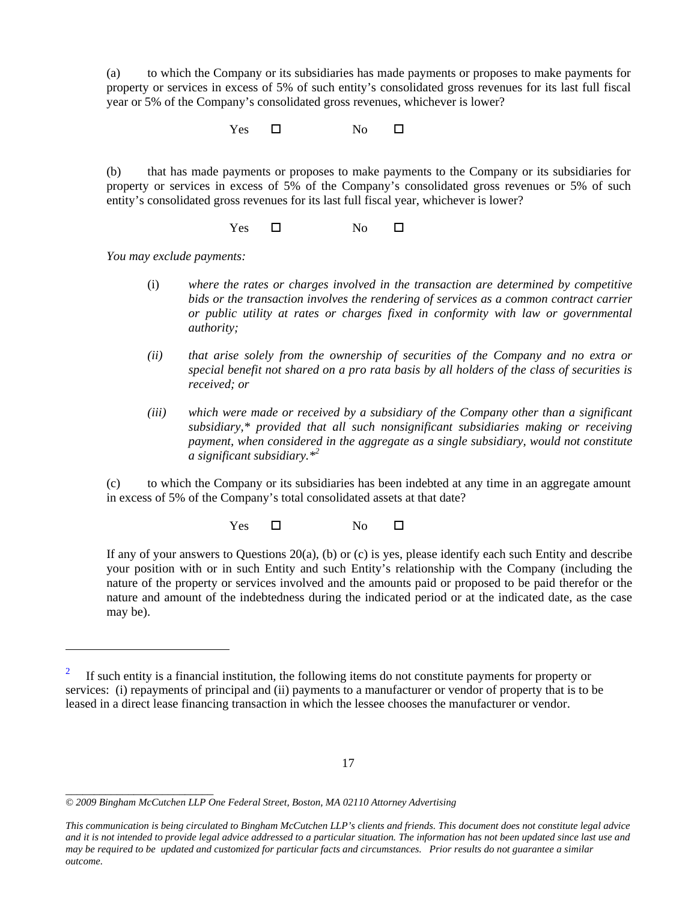(a) to which the Company or its subsidiaries has made payments or proposes to make payments for property or services in excess of 5% of such entity's consolidated gross revenues for its last full fiscal year or 5% of the Company's consolidated gross revenues, whichever is lower?

 $Yes \t\square$  No  $\square$ 

(b) that has made payments or proposes to make payments to the Company or its subsidiaries for property or services in excess of 5% of the Company's consolidated gross revenues or 5% of such entity's consolidated gross revenues for its last full fiscal year, whichever is lower?

 $Yes \t\square$  No  $\square$ 

*You may exclude payments:* 

- (i) *where the rates or charges involved in the transaction are determined by competitive bids or the transaction involves the rendering of services as a common contract carrier or public utility at rates or charges fixed in conformity with law or governmental authority;*
- *(ii) that arise solely from the ownership of securities of the Company and no extra or special benefit not shared on a pro rata basis by all holders of the class of securities is received; or*
- *(iii) which were made or received by a subsidiary of the Company other than a significant subsidiary,\* provided that all such nonsignificant subsidiaries making or receiving payment, when considered in the aggregate as a single subsidiary, would not constitute a significant subsidiary.\*2*

(c) to which the Company or its subsidiaries has been indebted at any time in an aggregate amount in excess of 5% of the Company's total consolidated assets at that date?

 $Yes \t\square$  No  $\square$ 

If any of your answers to Questions 20(a), (b) or (c) is yes, please identify each such Entity and describe your position with or in such Entity and such Entity's relationship with the Company (including the nature of the property or services involved and the amounts paid or proposed to be paid therefor or the nature and amount of the indebtedness during the indicated period or at the indicated date, as the case may be).

*\_\_\_\_\_\_\_\_\_\_\_\_\_\_\_\_\_\_\_\_\_\_\_\_\_\_* 

i

<sup>2</sup> If such entity is a financial institution, the following items do not constitute payments for property or services: (i) repayments of principal and (ii) payments to a manufacturer or vendor of property that is to be leased in a direct lease financing transaction in which the lessee chooses the manufacturer or vendor.

*<sup>© 2009</sup> Bingham McCutchen LLP One Federal Street, Boston, MA 02110 Attorney Advertising* 

*This communication is being circulated to Bingham McCutchen LLP's clients and friends. This document does not constitute legal advice and it is not intended to provide legal advice addressed to a particular situation. The information has not been updated since last use and may be required to be updated and customized for particular facts and circumstances. Prior results do not guarantee a similar outcome.*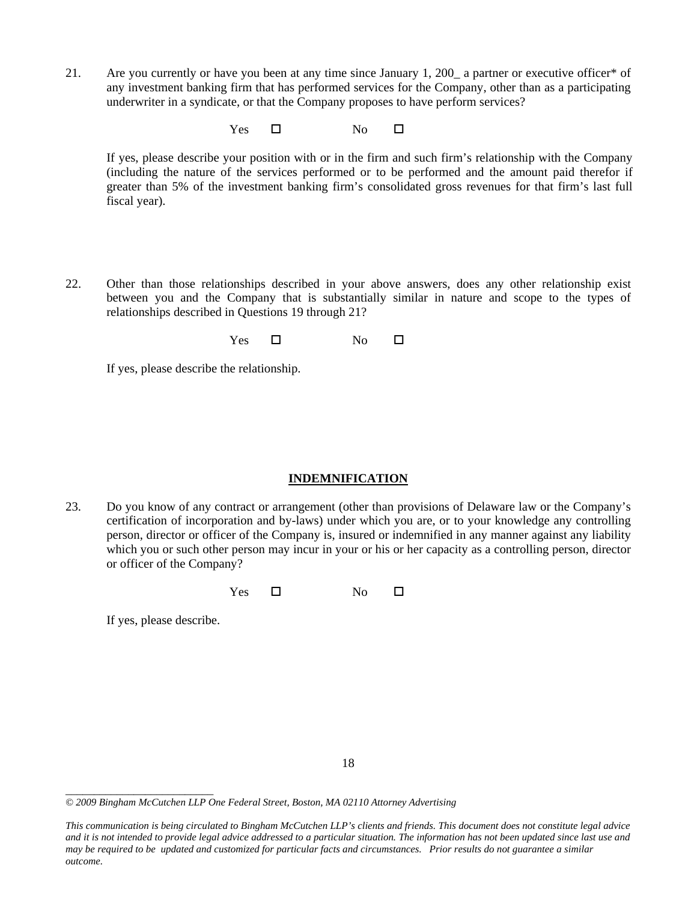21. Are you currently or have you been at any time since January 1, 200\_ a partner or executive officer\* of any investment banking firm that has performed services for the Company, other than as a participating underwriter in a syndicate, or that the Company proposes to have perform services?

 $Yes \t\square$  No  $\square$ 

If yes, please describe your position with or in the firm and such firm's relationship with the Company (including the nature of the services performed or to be performed and the amount paid therefor if greater than 5% of the investment banking firm's consolidated gross revenues for that firm's last full fiscal year).

22. Other than those relationships described in your above answers, does any other relationship exist between you and the Company that is substantially similar in nature and scope to the types of relationships described in Questions 19 through 21?

 $Yes \t\square$  No  $\square$ 

If yes, please describe the relationship.

## **INDEMNIFICATION**

23. Do you know of any contract or arrangement (other than provisions of Delaware law or the Company's certification of incorporation and by-laws) under which you are, or to your knowledge any controlling person, director or officer of the Company is, insured or indemnified in any manner against any liability which you or such other person may incur in your or his or her capacity as a controlling person, director or officer of the Company?

 $Yes \t\square$  No  $\square$ 

If yes, please describe.

<sup>18</sup> 

*<sup>© 2009</sup> Bingham McCutchen LLP One Federal Street, Boston, MA 02110 Attorney Advertising* 

*This communication is being circulated to Bingham McCutchen LLP's clients and friends. This document does not constitute legal advice and it is not intended to provide legal advice addressed to a particular situation. The information has not been updated since last use and may be required to be updated and customized for particular facts and circumstances. Prior results do not guarantee a similar outcome.*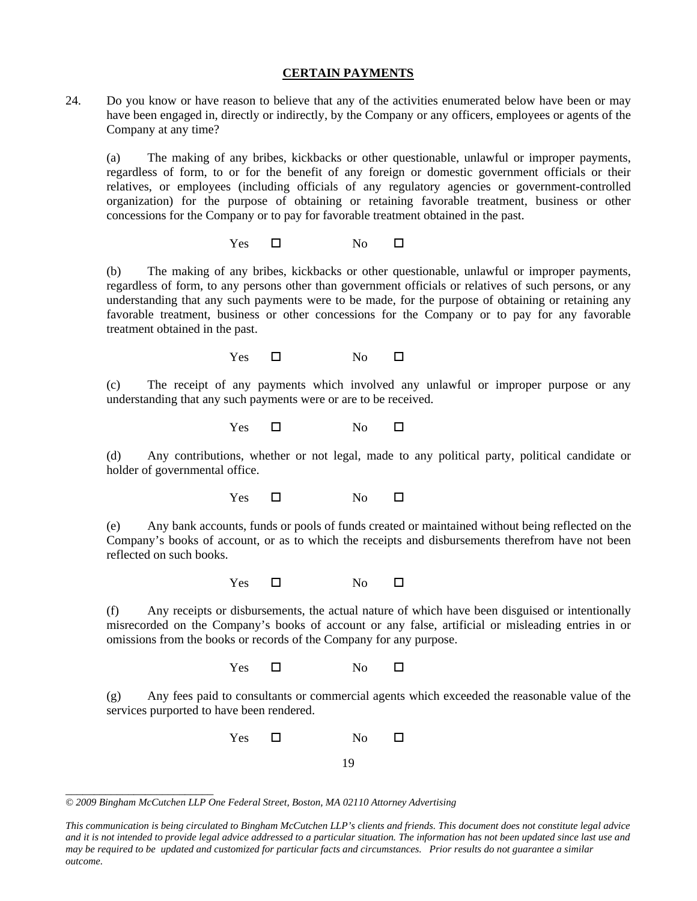#### **CERTAIN PAYMENTS**

24. Do you know or have reason to believe that any of the activities enumerated below have been or may have been engaged in, directly or indirectly, by the Company or any officers, employees or agents of the Company at any time?

(a) The making of any bribes, kickbacks or other questionable, unlawful or improper payments, regardless of form, to or for the benefit of any foreign or domestic government officials or their relatives, or employees (including officials of any regulatory agencies or government-controlled organization) for the purpose of obtaining or retaining favorable treatment, business or other concessions for the Company or to pay for favorable treatment obtained in the past.

 $Yes \t\square$  No  $\square$ 

(b) The making of any bribes, kickbacks or other questionable, unlawful or improper payments, regardless of form, to any persons other than government officials or relatives of such persons, or any understanding that any such payments were to be made, for the purpose of obtaining or retaining any favorable treatment, business or other concessions for the Company or to pay for any favorable treatment obtained in the past.

 $Yes \t\square$  No  $\square$ 

(c) The receipt of any payments which involved any unlawful or improper purpose or any understanding that any such payments were or are to be received.

 $Yes \t\square$  No  $\square$ 

(d) Any contributions, whether or not legal, made to any political party, political candidate or holder of governmental office.

 $Yes \t\square$  No  $\square$ 

(e) Any bank accounts, funds or pools of funds created or maintained without being reflected on the Company's books of account, or as to which the receipts and disbursements therefrom have not been reflected on such books.

Yes  $\square$  No  $\square$ 

(f) Any receipts or disbursements, the actual nature of which have been disguised or intentionally misrecorded on the Company's books of account or any false, artificial or misleading entries in or omissions from the books or records of the Company for any purpose.

 $Yes \t\square$  No  $\square$ 

(g) Any fees paid to consultants or commercial agents which exceeded the reasonable value of the services purported to have been rendered.

> 19 Yes No

*<sup>© 2009</sup> Bingham McCutchen LLP One Federal Street, Boston, MA 02110 Attorney Advertising* 

*This communication is being circulated to Bingham McCutchen LLP's clients and friends. This document does not constitute legal advice and it is not intended to provide legal advice addressed to a particular situation. The information has not been updated since last use and may be required to be updated and customized for particular facts and circumstances. Prior results do not guarantee a similar outcome.*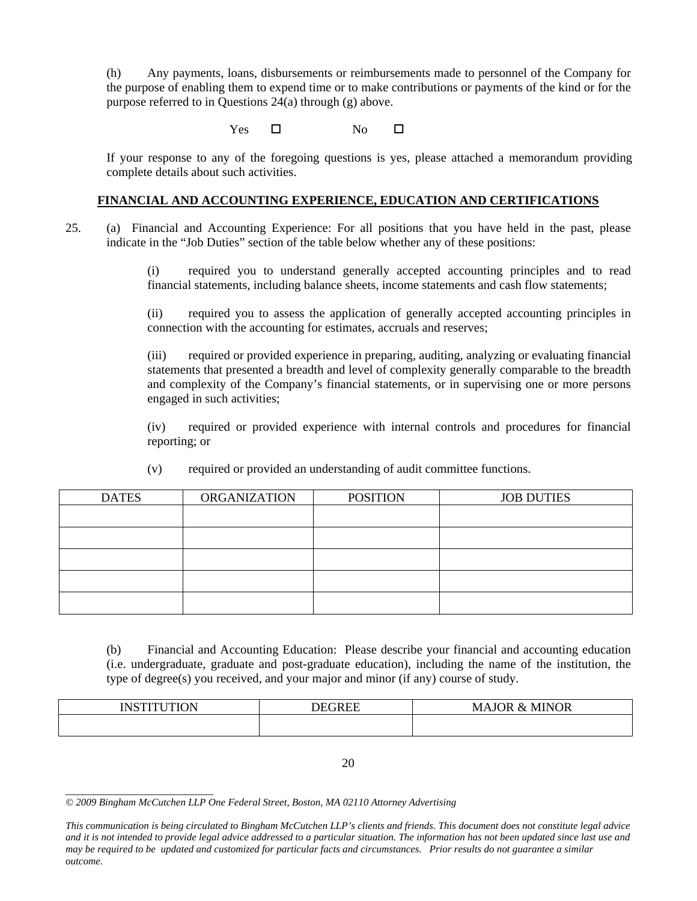(h) Any payments, loans, disbursements or reimbursements made to personnel of the Company for the purpose of enabling them to expend time or to make contributions or payments of the kind or for the purpose referred to in Questions 24(a) through (g) above.

 $Yes \t\square$  No  $\square$ 

If your response to any of the foregoing questions is yes, please attached a memorandum providing complete details about such activities.

## **FINANCIAL AND ACCOUNTING EXPERIENCE, EDUCATION AND CERTIFICATIONS**

25. (a) Financial and Accounting Experience: For all positions that you have held in the past, please indicate in the "Job Duties" section of the table below whether any of these positions:

> (i) required you to understand generally accepted accounting principles and to read financial statements, including balance sheets, income statements and cash flow statements;

> (ii) required you to assess the application of generally accepted accounting principles in connection with the accounting for estimates, accruals and reserves;

> (iii) required or provided experience in preparing, auditing, analyzing or evaluating financial statements that presented a breadth and level of complexity generally comparable to the breadth and complexity of the Company's financial statements, or in supervising one or more persons engaged in such activities;

> (iv) required or provided experience with internal controls and procedures for financial reporting; or

| <b>DATES</b> | <b>ORGANIZATION</b> | <b>POSITION</b> | <b>JOB DUTIES</b> |
|--------------|---------------------|-----------------|-------------------|
|              |                     |                 |                   |
|              |                     |                 |                   |
|              |                     |                 |                   |
|              |                     |                 |                   |
|              |                     |                 |                   |

(v) required or provided an understanding of audit committee functions.

(b) Financial and Accounting Education: Please describe your financial and accounting education (i.e. undergraduate, graduate and post-graduate education), including the name of the institution, the type of degree(s) you received, and your major and minor (if any) course of study.

| INSTITI ITION | $\sqrt{2}$ | MINOR<br>N/I<br>אנ<br>MА<br>$X_{\mathcal{T}}$ |
|---------------|------------|-----------------------------------------------|
|               |            |                                               |

20

*<sup>© 2009</sup> Bingham McCutchen LLP One Federal Street, Boston, MA 02110 Attorney Advertising* 

*This communication is being circulated to Bingham McCutchen LLP's clients and friends. This document does not constitute legal advice and it is not intended to provide legal advice addressed to a particular situation. The information has not been updated since last use and may be required to be updated and customized for particular facts and circumstances. Prior results do not guarantee a similar outcome.*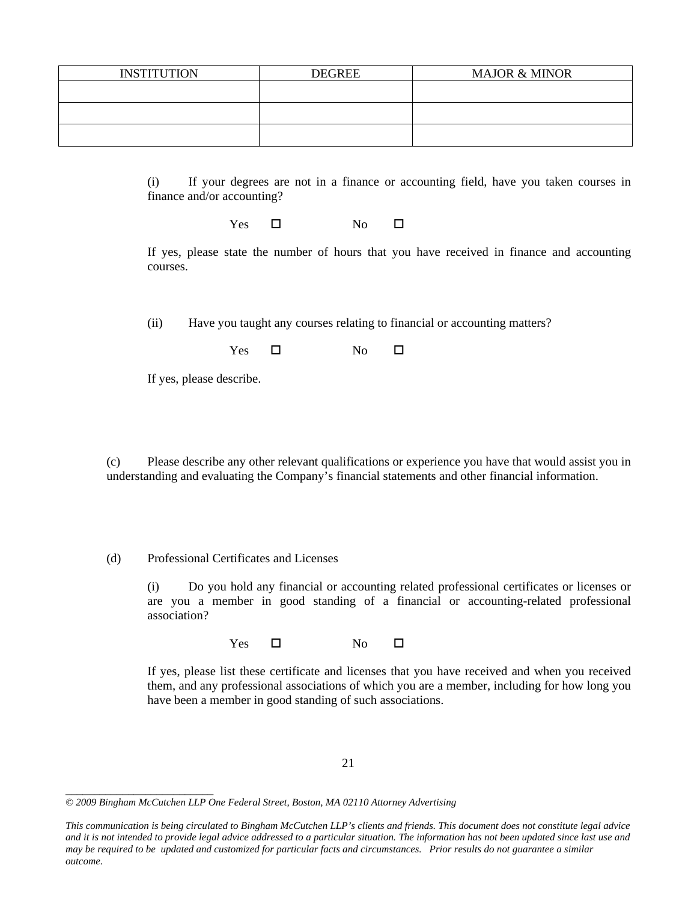| <b>INSTITUTION</b> | <b>DEGREE</b> | <b>MAJOR &amp; MINOR</b> |
|--------------------|---------------|--------------------------|
|                    |               |                          |
|                    |               |                          |
|                    |               |                          |
|                    |               |                          |
|                    |               |                          |

(i) If your degrees are not in a finance or accounting field, have you taken courses in finance and/or accounting?

Yes No

If yes, please state the number of hours that you have received in finance and accounting courses.

(ii) Have you taught any courses relating to financial or accounting matters?

 $Yes \t\square$  No  $\square$ 

If yes, please describe.

(c) Please describe any other relevant qualifications or experience you have that would assist you in understanding and evaluating the Company's financial statements and other financial information.

(d) Professional Certificates and Licenses

(i) Do you hold any financial or accounting related professional certificates or licenses or are you a member in good standing of a financial or accounting-related professional association?

 $Yes \t\square$  No  $\square$ 

If yes, please list these certificate and licenses that you have received and when you received them, and any professional associations of which you are a member, including for how long you have been a member in good standing of such associations.

*\_\_\_\_\_\_\_\_\_\_\_\_\_\_\_\_\_\_\_\_\_\_\_\_\_\_* 

*This communication is being circulated to Bingham McCutchen LLP's clients and friends. This document does not constitute legal advice and it is not intended to provide legal advice addressed to a particular situation. The information has not been updated since last use and may be required to be updated and customized for particular facts and circumstances. Prior results do not guarantee a similar outcome.* 

*<sup>© 2009</sup> Bingham McCutchen LLP One Federal Street, Boston, MA 02110 Attorney Advertising*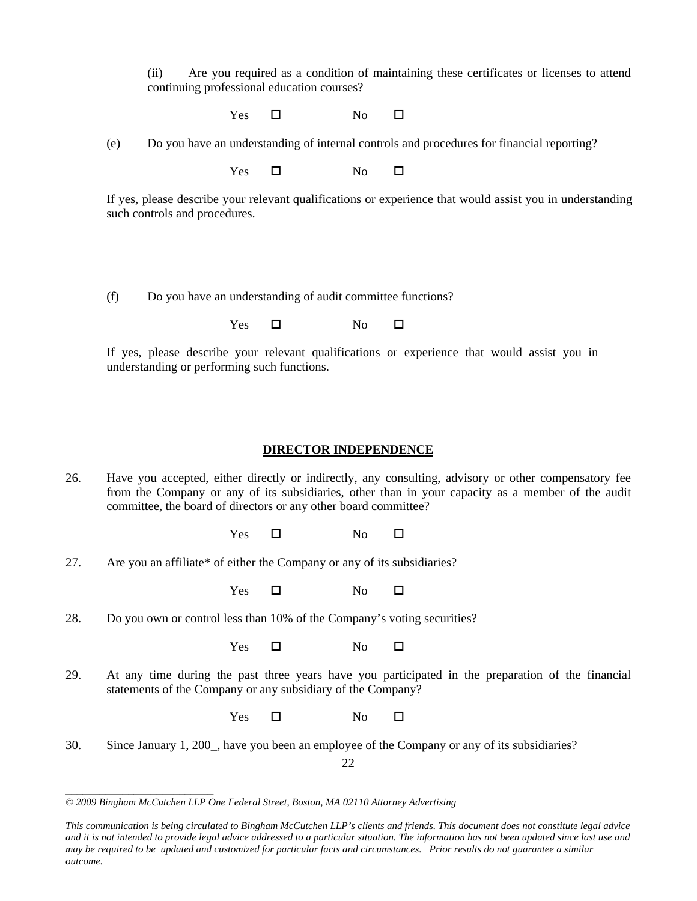(ii) Are you required as a condition of maintaining these certificates or licenses to attend continuing professional education courses?

 $Yes \t\square$  No  $\square$ 

(e) Do you have an understanding of internal controls and procedures for financial reporting?

 $Yes \t\square$  No  $\square$ 

If yes, please describe your relevant qualifications or experience that would assist you in understanding such controls and procedures.

(f) Do you have an understanding of audit committee functions?

 $Yes \t\square$  No  $\square$ 

If yes, please describe your relevant qualifications or experience that would assist you in understanding or performing such functions.

## **DIRECTOR INDEPENDENCE**

26. Have you accepted, either directly or indirectly, any consulting, advisory or other compensatory fee from the Company or any of its subsidiaries, other than in your capacity as a member of the audit committee, the board of directors or any other board committee?

 $Yes \t\square$  No  $\square$ 

27. Are you an affiliate\* of either the Company or any of its subsidiaries?

 $Yes \t\square$  No  $\square$ 

28. Do you own or control less than 10% of the Company's voting securities?

 $Yes \t\square$  No  $\square$ 

29. At any time during the past three years have you participated in the preparation of the financial statements of the Company or any subsidiary of the Company?

 $Yes \t\square$  No  $\square$ 

30. Since January 1, 200\_, have you been an employee of the Company or any of its subsidiaries?

22

*\_\_\_\_\_\_\_\_\_\_\_\_\_\_\_\_\_\_\_\_\_\_\_\_\_\_ © 2009 Bingham McCutchen LLP One Federal Street, Boston, MA 02110 Attorney Advertising* 

*This communication is being circulated to Bingham McCutchen LLP's clients and friends. This document does not constitute legal advice and it is not intended to provide legal advice addressed to a particular situation. The information has not been updated since last use and may be required to be updated and customized for particular facts and circumstances. Prior results do not guarantee a similar outcome.*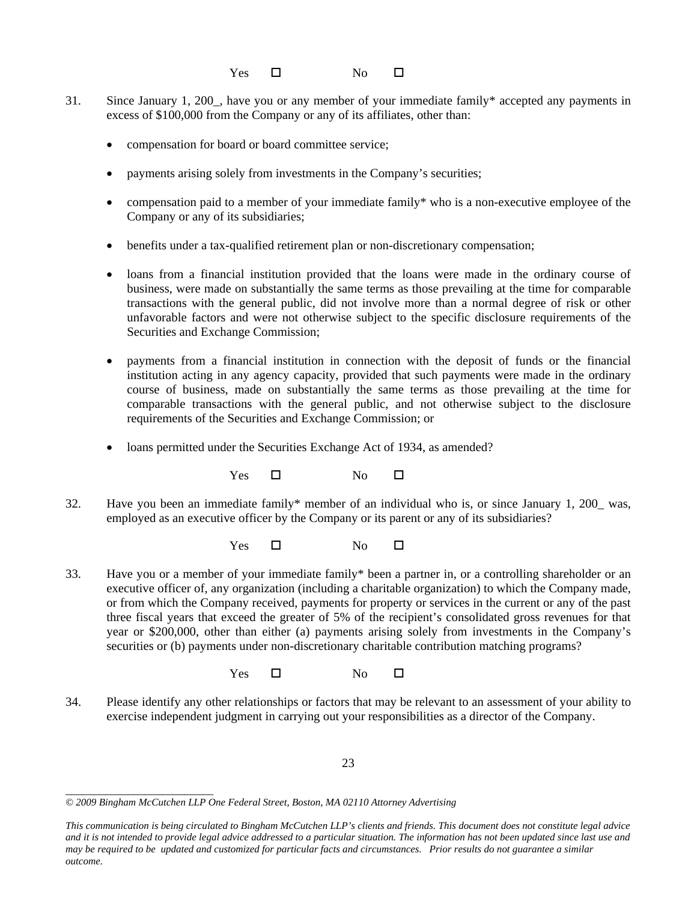$Yes \t\square$  No  $\square$ 

- 31. Since January 1, 200\_, have you or any member of your immediate family\* accepted any payments in excess of \$100,000 from the Company or any of its affiliates, other than:
	- compensation for board or board committee service;
	- payments arising solely from investments in the Company's securities;
	- compensation paid to a member of your immediate family\* who is a non-executive employee of the Company or any of its subsidiaries;
	- benefits under a tax-qualified retirement plan or non-discretionary compensation;
	- loans from a financial institution provided that the loans were made in the ordinary course of business, were made on substantially the same terms as those prevailing at the time for comparable transactions with the general public, did not involve more than a normal degree of risk or other unfavorable factors and were not otherwise subject to the specific disclosure requirements of the Securities and Exchange Commission;
	- payments from a financial institution in connection with the deposit of funds or the financial institution acting in any agency capacity, provided that such payments were made in the ordinary course of business, made on substantially the same terms as those prevailing at the time for comparable transactions with the general public, and not otherwise subject to the disclosure requirements of the Securities and Exchange Commission; or
	- loans permitted under the Securities Exchange Act of 1934, as amended?

 $Yes \t\square$  No  $\square$ 

32. Have you been an immediate family\* member of an individual who is, or since January 1, 200\_ was, employed as an executive officer by the Company or its parent or any of its subsidiaries?

Yes No

- 33. Have you or a member of your immediate family\* been a partner in, or a controlling shareholder or an executive officer of, any organization (including a charitable organization) to which the Company made, or from which the Company received, payments for property or services in the current or any of the past three fiscal years that exceed the greater of 5% of the recipient's consolidated gross revenues for that year or \$200,000, other than either (a) payments arising solely from investments in the Company's securities or (b) payments under non-discretionary charitable contribution matching programs?
	- Yes No
- 34. Please identify any other relationships or factors that may be relevant to an assessment of your ability to exercise independent judgment in carrying out your responsibilities as a director of the Company.

23

*\_\_\_\_\_\_\_\_\_\_\_\_\_\_\_\_\_\_\_\_\_\_\_\_\_\_ © 2009 Bingham McCutchen LLP One Federal Street, Boston, MA 02110 Attorney Advertising* 

*This communication is being circulated to Bingham McCutchen LLP's clients and friends. This document does not constitute legal advice and it is not intended to provide legal advice addressed to a particular situation. The information has not been updated since last use and may be required to be updated and customized for particular facts and circumstances. Prior results do not guarantee a similar outcome.*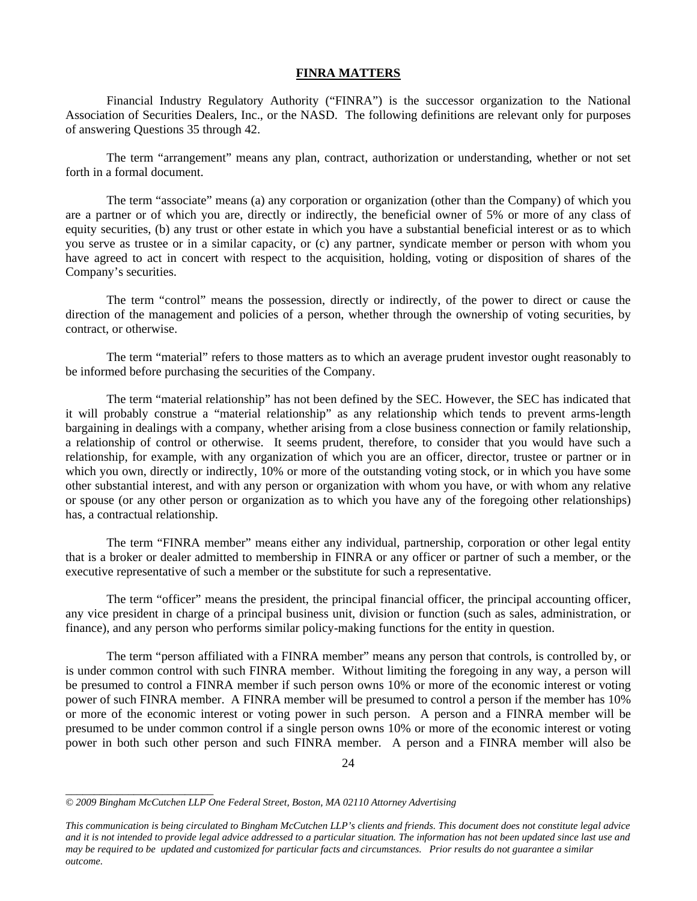#### **FINRA MATTERS**

Financial Industry Regulatory Authority ("FINRA") is the successor organization to the National Association of Securities Dealers, Inc., or the NASD. The following definitions are relevant only for purposes of answering Questions 35 through 42.

The term "arrangement" means any plan, contract, authorization or understanding, whether or not set forth in a formal document.

The term "associate" means (a) any corporation or organization (other than the Company) of which you are a partner or of which you are, directly or indirectly, the beneficial owner of 5% or more of any class of equity securities, (b) any trust or other estate in which you have a substantial beneficial interest or as to which you serve as trustee or in a similar capacity, or (c) any partner, syndicate member or person with whom you have agreed to act in concert with respect to the acquisition, holding, voting or disposition of shares of the Company's securities.

The term "control" means the possession, directly or indirectly, of the power to direct or cause the direction of the management and policies of a person, whether through the ownership of voting securities, by contract, or otherwise.

The term "material" refers to those matters as to which an average prudent investor ought reasonably to be informed before purchasing the securities of the Company.

The term "material relationship" has not been defined by the SEC. However, the SEC has indicated that it will probably construe a "material relationship" as any relationship which tends to prevent arms-length bargaining in dealings with a company, whether arising from a close business connection or family relationship, a relationship of control or otherwise. It seems prudent, therefore, to consider that you would have such a relationship, for example, with any organization of which you are an officer, director, trustee or partner or in which you own, directly or indirectly, 10% or more of the outstanding voting stock, or in which you have some other substantial interest, and with any person or organization with whom you have, or with whom any relative or spouse (or any other person or organization as to which you have any of the foregoing other relationships) has, a contractual relationship.

The term "FINRA member" means either any individual, partnership, corporation or other legal entity that is a broker or dealer admitted to membership in FINRA or any officer or partner of such a member, or the executive representative of such a member or the substitute for such a representative.

The term "officer" means the president, the principal financial officer, the principal accounting officer, any vice president in charge of a principal business unit, division or function (such as sales, administration, or finance), and any person who performs similar policy-making functions for the entity in question.

The term "person affiliated with a FINRA member" means any person that controls, is controlled by, or is under common control with such FINRA member. Without limiting the foregoing in any way, a person will be presumed to control a FINRA member if such person owns 10% or more of the economic interest or voting power of such FINRA member. A FINRA member will be presumed to control a person if the member has 10% or more of the economic interest or voting power in such person. A person and a FINRA member will be presumed to be under common control if a single person owns 10% or more of the economic interest or voting power in both such other person and such FINRA member. A person and a FINRA member will also be

*<sup>© 2009</sup> Bingham McCutchen LLP One Federal Street, Boston, MA 02110 Attorney Advertising* 

*This communication is being circulated to Bingham McCutchen LLP's clients and friends. This document does not constitute legal advice and it is not intended to provide legal advice addressed to a particular situation. The information has not been updated since last use and may be required to be updated and customized for particular facts and circumstances. Prior results do not guarantee a similar outcome.*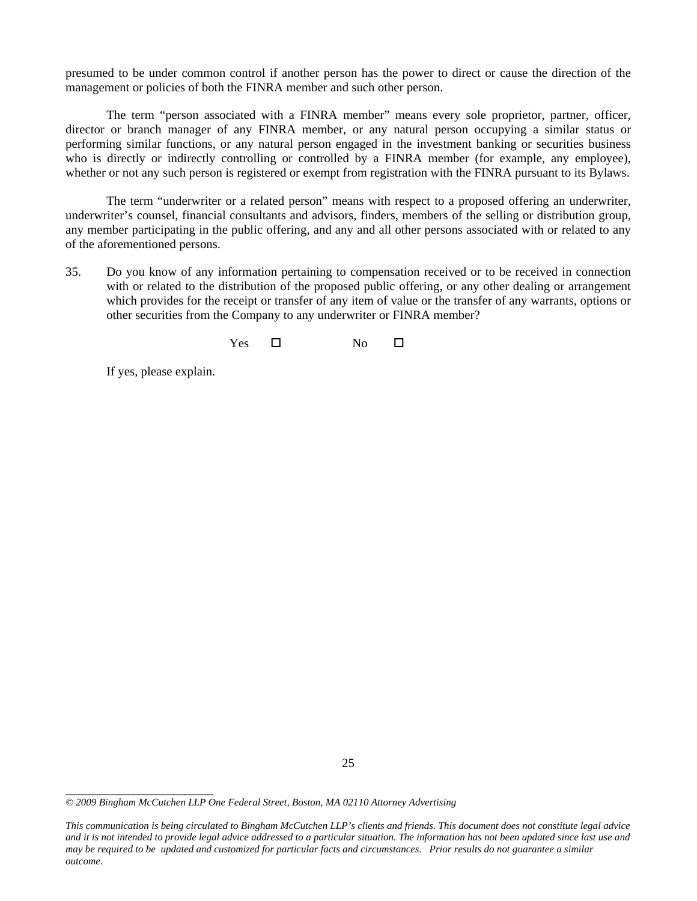presumed to be under common control if another person has the power to direct or cause the direction of the management or policies of both the FINRA member and such other person.

The term "person associated with a FINRA member" means every sole proprietor, partner, officer, director or branch manager of any FINRA member, or any natural person occupying a similar status or performing similar functions, or any natural person engaged in the investment banking or securities business who is directly or indirectly controlling or controlled by a FINRA member (for example, any employee), whether or not any such person is registered or exempt from registration with the FINRA pursuant to its Bylaws.

The term "underwriter or a related person" means with respect to a proposed offering an underwriter, underwriter's counsel, financial consultants and advisors, finders, members of the selling or distribution group, any member participating in the public offering, and any and all other persons associated with or related to any of the aforementioned persons.

35. Do you know of any information pertaining to compensation received or to be received in connection with or related to the distribution of the proposed public offering, or any other dealing or arrangement which provides for the receipt or transfer of any item of value or the transfer of any warrants, options or other securities from the Company to any underwriter or FINRA member?

 $Yes \t\square$  No  $\square$ 

If yes, please explain.

*<sup>© 2009</sup> Bingham McCutchen LLP One Federal Street, Boston, MA 02110 Attorney Advertising* 

*This communication is being circulated to Bingham McCutchen LLP's clients and friends. This document does not constitute legal advice and it is not intended to provide legal advice addressed to a particular situation. The information has not been updated since last use and may be required to be updated and customized for particular facts and circumstances. Prior results do not guarantee a similar outcome.*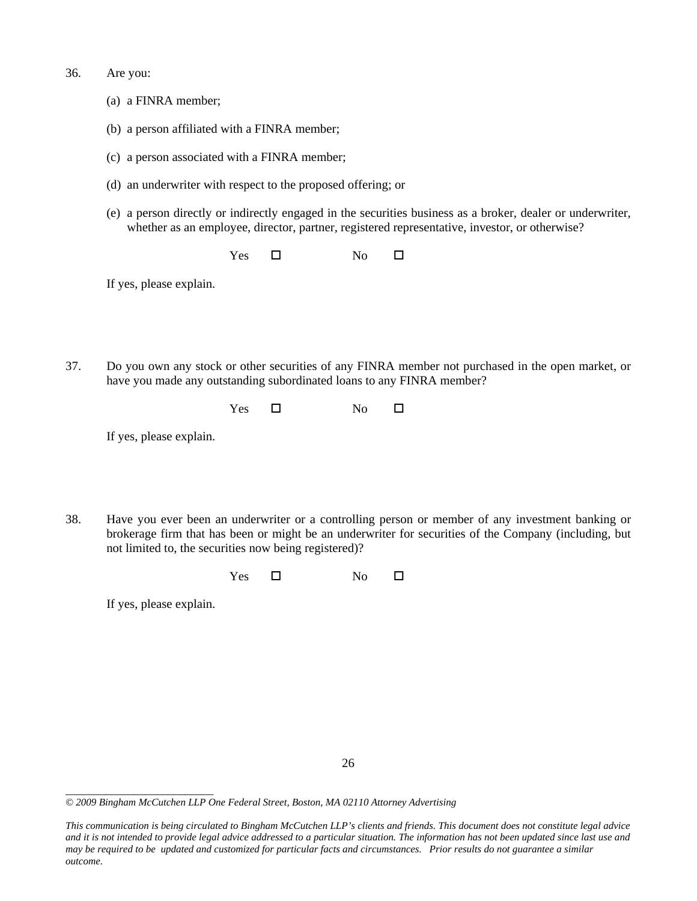- 36. Are you:
	- (a) a FINRA member;
	- (b) a person affiliated with a FINRA member;
	- (c) a person associated with a FINRA member;
	- (d) an underwriter with respect to the proposed offering; or
	- (e) a person directly or indirectly engaged in the securities business as a broker, dealer or underwriter, whether as an employee, director, partner, registered representative, investor, or otherwise?

 $Yes \t\square$  No  $\square$ 

If yes, please explain.

37. Do you own any stock or other securities of any FINRA member not purchased in the open market, or have you made any outstanding subordinated loans to any FINRA member?

 $Yes \t\square$  No  $\square$ 

If yes, please explain.

38. Have you ever been an underwriter or a controlling person or member of any investment banking or brokerage firm that has been or might be an underwriter for securities of the Company (including, but not limited to, the securities now being registered)?

| $\overline{ }$<br>es<br>$-$ | No |  |
|-----------------------------|----|--|
|-----------------------------|----|--|

If yes, please explain.

<sup>26</sup> 

*<sup>© 2009</sup> Bingham McCutchen LLP One Federal Street, Boston, MA 02110 Attorney Advertising* 

*This communication is being circulated to Bingham McCutchen LLP's clients and friends. This document does not constitute legal advice and it is not intended to provide legal advice addressed to a particular situation. The information has not been updated since last use and may be required to be updated and customized for particular facts and circumstances. Prior results do not guarantee a similar outcome.*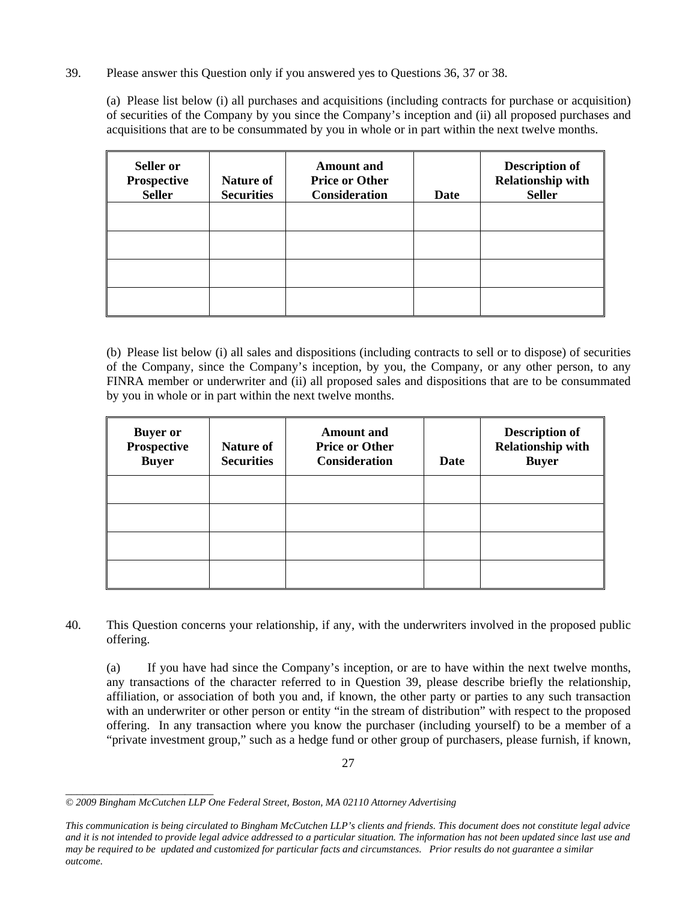## 39. Please answer this Question only if you answered yes to Questions 36, 37 or 38.

(a) Please list below (i) all purchases and acquisitions (including contracts for purchase or acquisition) of securities of the Company by you since the Company's inception and (ii) all proposed purchases and acquisitions that are to be consummated by you in whole or in part within the next twelve months.

| Seller or<br><b>Prospective</b><br><b>Seller</b> | Nature of<br><b>Securities</b> | <b>Amount</b> and<br><b>Price or Other</b><br><b>Consideration</b> | Date | <b>Description of</b><br><b>Relationship with</b><br><b>Seller</b> |
|--------------------------------------------------|--------------------------------|--------------------------------------------------------------------|------|--------------------------------------------------------------------|
|                                                  |                                |                                                                    |      |                                                                    |
|                                                  |                                |                                                                    |      |                                                                    |
|                                                  |                                |                                                                    |      |                                                                    |
|                                                  |                                |                                                                    |      |                                                                    |

(b) Please list below (i) all sales and dispositions (including contracts to sell or to dispose) of securities of the Company, since the Company's inception, by you, the Company, or any other person, to any FINRA member or underwriter and (ii) all proposed sales and dispositions that are to be consummated by you in whole or in part within the next twelve months.

| <b>Buyer</b> or<br><b>Prospective</b><br><b>Buyer</b> | Nature of<br><b>Securities</b> | <b>Amount</b> and<br><b>Price or Other</b><br><b>Consideration</b> | Date | <b>Description of</b><br><b>Relationship with</b><br><b>Buyer</b> |
|-------------------------------------------------------|--------------------------------|--------------------------------------------------------------------|------|-------------------------------------------------------------------|
|                                                       |                                |                                                                    |      |                                                                   |
|                                                       |                                |                                                                    |      |                                                                   |
|                                                       |                                |                                                                    |      |                                                                   |
|                                                       |                                |                                                                    |      |                                                                   |

40. This Question concerns your relationship, if any, with the underwriters involved in the proposed public offering.

(a) If you have had since the Company's inception, or are to have within the next twelve months, any transactions of the character referred to in Question 39, please describe briefly the relationship, affiliation, or association of both you and, if known, the other party or parties to any such transaction with an underwriter or other person or entity "in the stream of distribution" with respect to the proposed offering. In any transaction where you know the purchaser (including yourself) to be a member of a "private investment group," such as a hedge fund or other group of purchasers, please furnish, if known,

*\_\_\_\_\_\_\_\_\_\_\_\_\_\_\_\_\_\_\_\_\_\_\_\_\_\_ © 2009 Bingham McCutchen LLP One Federal Street, Boston, MA 02110 Attorney Advertising* 

*This communication is being circulated to Bingham McCutchen LLP's clients and friends. This document does not constitute legal advice and it is not intended to provide legal advice addressed to a particular situation. The information has not been updated since last use and may be required to be updated and customized for particular facts and circumstances. Prior results do not guarantee a similar outcome.*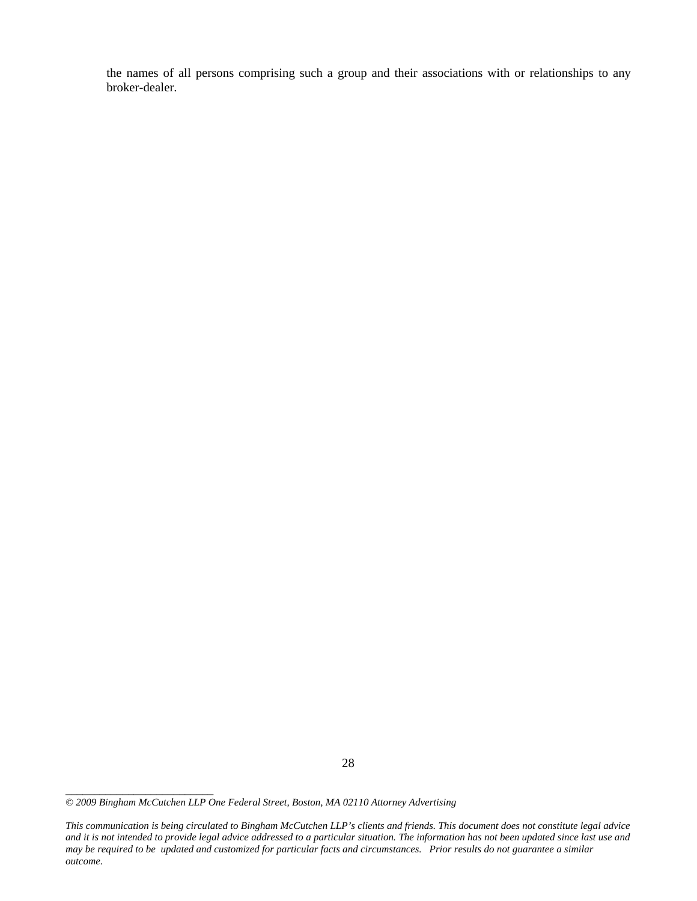the names of all persons comprising such a group and their associations with or relationships to any broker-dealer.

*\_\_\_\_\_\_\_\_\_\_\_\_\_\_\_\_\_\_\_\_\_\_\_\_\_\_* 

*This communication is being circulated to Bingham McCutchen LLP's clients and friends. This document does not constitute legal advice and it is not intended to provide legal advice addressed to a particular situation. The information has not been updated since last use and may be required to be updated and customized for particular facts and circumstances. Prior results do not guarantee a similar outcome.* 

*<sup>© 2009</sup> Bingham McCutchen LLP One Federal Street, Boston, MA 02110 Attorney Advertising*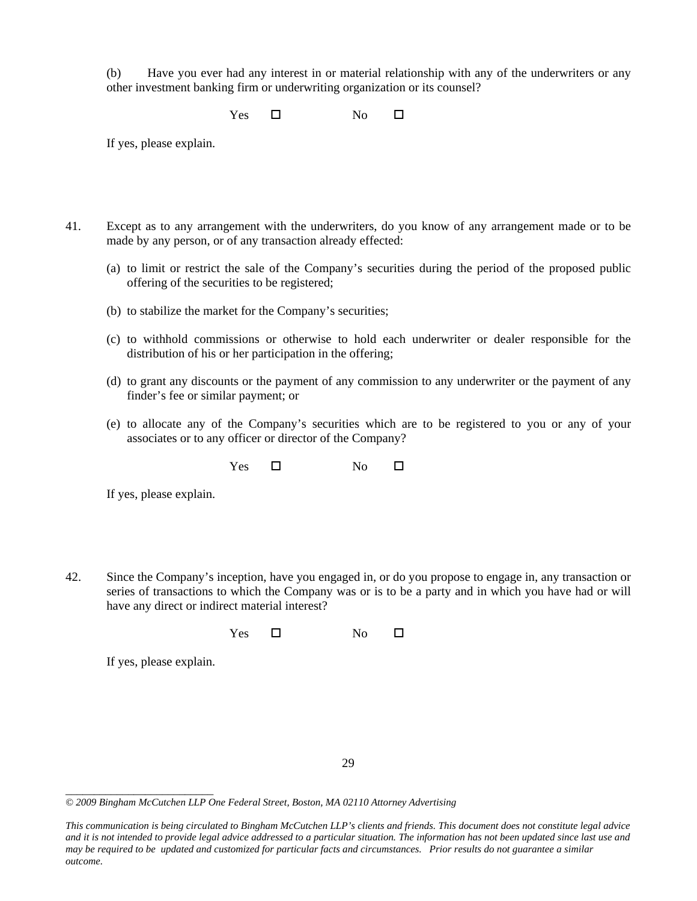(b) Have you ever had any interest in or material relationship with any of the underwriters or any other investment banking firm or underwriting organization or its counsel?

 $Yes \t\square$  No  $\square$ 

If yes, please explain.

- 41. Except as to any arrangement with the underwriters, do you know of any arrangement made or to be made by any person, or of any transaction already effected:
	- (a) to limit or restrict the sale of the Company's securities during the period of the proposed public offering of the securities to be registered;
	- (b) to stabilize the market for the Company's securities;
	- (c) to withhold commissions or otherwise to hold each underwriter or dealer responsible for the distribution of his or her participation in the offering;
	- (d) to grant any discounts or the payment of any commission to any underwriter or the payment of any finder's fee or similar payment; or
	- (e) to allocate any of the Company's securities which are to be registered to you or any of your associates or to any officer or director of the Company?

 $Yes \t\square$  No  $\square$ 

If yes, please explain.

42. Since the Company's inception, have you engaged in, or do you propose to engage in, any transaction or series of transactions to which the Company was or is to be a party and in which you have had or will have any direct or indirect material interest?

 $Yes \t\t D$  No  $\Box$ 

If yes, please explain.

<sup>29</sup> 

*<sup>© 2009</sup> Bingham McCutchen LLP One Federal Street, Boston, MA 02110 Attorney Advertising* 

*This communication is being circulated to Bingham McCutchen LLP's clients and friends. This document does not constitute legal advice and it is not intended to provide legal advice addressed to a particular situation. The information has not been updated since last use and may be required to be updated and customized for particular facts and circumstances. Prior results do not guarantee a similar outcome.*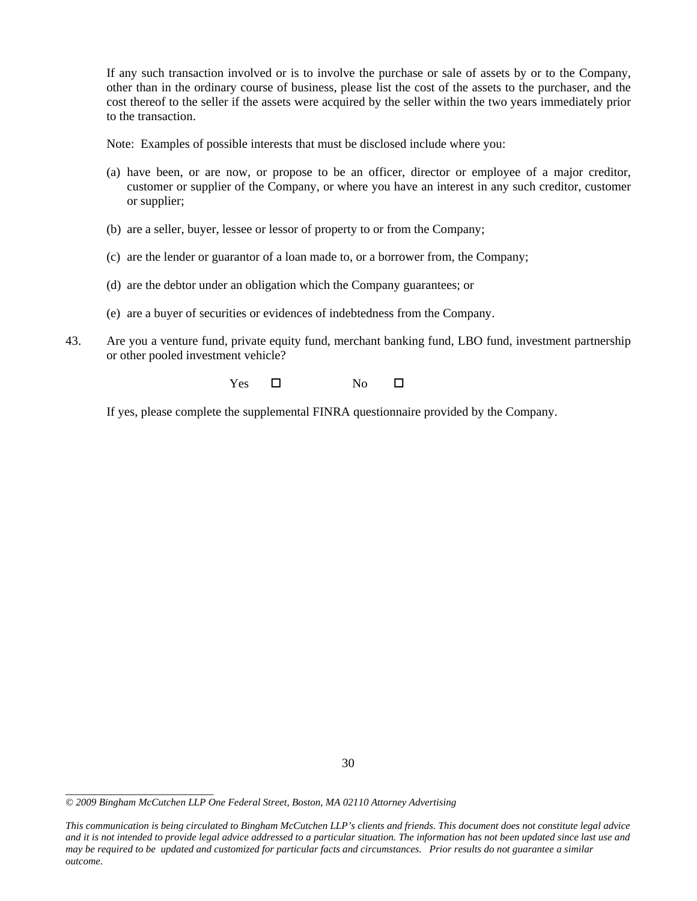If any such transaction involved or is to involve the purchase or sale of assets by or to the Company, other than in the ordinary course of business, please list the cost of the assets to the purchaser, and the cost thereof to the seller if the assets were acquired by the seller within the two years immediately prior to the transaction.

Note: Examples of possible interests that must be disclosed include where you:

- (a) have been, or are now, or propose to be an officer, director or employee of a major creditor, customer or supplier of the Company, or where you have an interest in any such creditor, customer or supplier;
- (b) are a seller, buyer, lessee or lessor of property to or from the Company;
- (c) are the lender or guarantor of a loan made to, or a borrower from, the Company;
- (d) are the debtor under an obligation which the Company guarantees; or
- (e) are a buyer of securities or evidences of indebtedness from the Company.
- 43. Are you a venture fund, private equity fund, merchant banking fund, LBO fund, investment partnership or other pooled investment vehicle?

 $Yes \t\square$  No  $\square$ 

If yes, please complete the supplemental FINRA questionnaire provided by the Company.

*<sup>© 2009</sup> Bingham McCutchen LLP One Federal Street, Boston, MA 02110 Attorney Advertising* 

*This communication is being circulated to Bingham McCutchen LLP's clients and friends. This document does not constitute legal advice and it is not intended to provide legal advice addressed to a particular situation. The information has not been updated since last use and may be required to be updated and customized for particular facts and circumstances. Prior results do not guarantee a similar outcome.*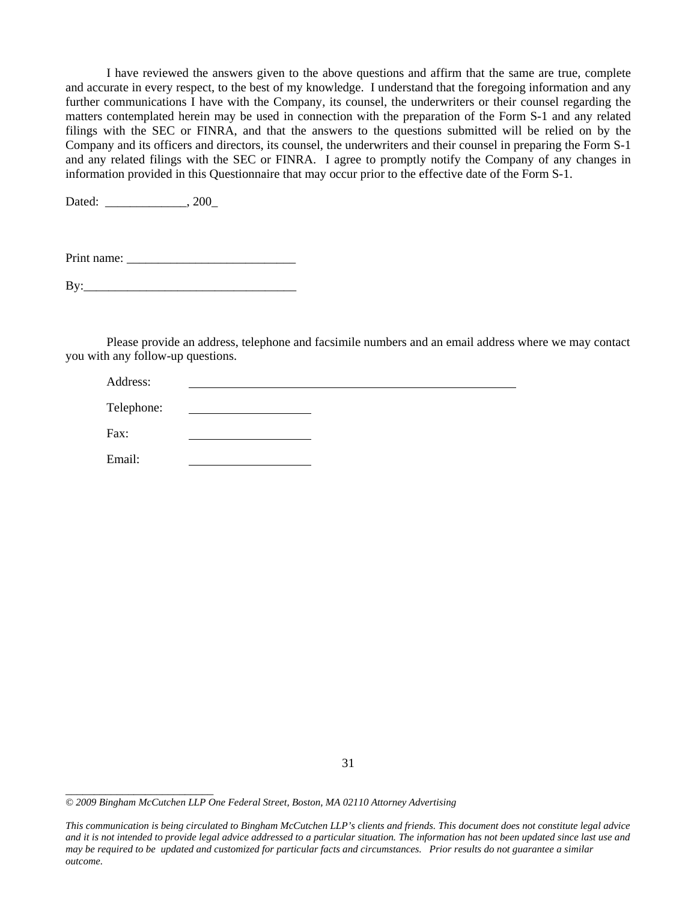I have reviewed the answers given to the above questions and affirm that the same are true, complete and accurate in every respect, to the best of my knowledge. I understand that the foregoing information and any further communications I have with the Company, its counsel, the underwriters or their counsel regarding the matters contemplated herein may be used in connection with the preparation of the Form S-1 and any related filings with the SEC or FINRA, and that the answers to the questions submitted will be relied on by the Company and its officers and directors, its counsel, the underwriters and their counsel in preparing the Form S-1 and any related filings with the SEC or FINRA. I agree to promptly notify the Company of any changes in information provided in this Questionnaire that may occur prior to the effective date of the Form S-1.

Dated: \_\_\_\_\_\_\_\_\_\_\_\_\_\_, 200\_

*\_\_\_\_\_\_\_\_\_\_\_\_\_\_\_\_\_\_\_\_\_\_\_\_\_\_* 

Print name:

By:\_\_\_\_\_\_\_\_\_\_\_\_\_\_\_\_\_\_\_\_\_\_\_\_\_\_\_\_\_\_\_\_\_\_

Please provide an address, telephone and facsimile numbers and an email address where we may contact you with any follow-up questions.

| Address:   |  |  |
|------------|--|--|
| Telephone: |  |  |
| Fax:       |  |  |
| Email:     |  |  |

*<sup>© 2009</sup> Bingham McCutchen LLP One Federal Street, Boston, MA 02110 Attorney Advertising* 

*This communication is being circulated to Bingham McCutchen LLP's clients and friends. This document does not constitute legal advice and it is not intended to provide legal advice addressed to a particular situation. The information has not been updated since last use and may be required to be updated and customized for particular facts and circumstances. Prior results do not guarantee a similar outcome.*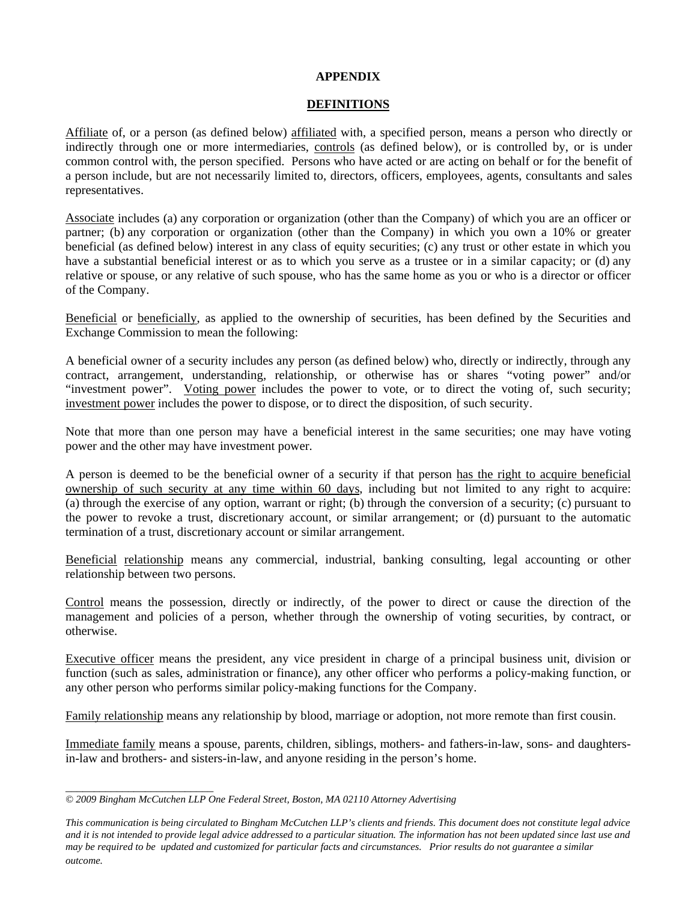## **APPENDIX**

## **DEFINITIONS**

Affiliate of, or a person (as defined below) affiliated with, a specified person, means a person who directly or indirectly through one or more intermediaries, controls (as defined below), or is controlled by, or is under common control with, the person specified. Persons who have acted or are acting on behalf or for the benefit of a person include, but are not necessarily limited to, directors, officers, employees, agents, consultants and sales representatives.

Associate includes (a) any corporation or organization (other than the Company) of which you are an officer or partner; (b) any corporation or organization (other than the Company) in which you own a 10% or greater beneficial (as defined below) interest in any class of equity securities; (c) any trust or other estate in which you have a substantial beneficial interest or as to which you serve as a trustee or in a similar capacity; or (d) any relative or spouse, or any relative of such spouse, who has the same home as you or who is a director or officer of the Company.

Beneficial or beneficially, as applied to the ownership of securities, has been defined by the Securities and Exchange Commission to mean the following:

A beneficial owner of a security includes any person (as defined below) who, directly or indirectly, through any contract, arrangement, understanding, relationship, or otherwise has or shares "voting power" and/or "investment power". Voting power includes the power to vote, or to direct the voting of, such security; investment power includes the power to dispose, or to direct the disposition, of such security.

Note that more than one person may have a beneficial interest in the same securities; one may have voting power and the other may have investment power.

A person is deemed to be the beneficial owner of a security if that person has the right to acquire beneficial ownership of such security at any time within 60 days, including but not limited to any right to acquire: (a) through the exercise of any option, warrant or right; (b) through the conversion of a security; (c) pursuant to the power to revoke a trust, discretionary account, or similar arrangement; or (d) pursuant to the automatic termination of a trust, discretionary account or similar arrangement.

Beneficial relationship means any commercial, industrial, banking consulting, legal accounting or other relationship between two persons.

Control means the possession, directly or indirectly, of the power to direct or cause the direction of the management and policies of a person, whether through the ownership of voting securities, by contract, or otherwise.

Executive officer means the president, any vice president in charge of a principal business unit, division or function (such as sales, administration or finance), any other officer who performs a policy-making function, or any other person who performs similar policy-making functions for the Company.

Family relationship means any relationship by blood, marriage or adoption, not more remote than first cousin.

Immediate family means a spouse, parents, children, siblings, mothers- and fathers-in-law, sons- and daughtersin-law and brothers- and sisters-in-law, and anyone residing in the person's home.

*<sup>© 2009</sup> Bingham McCutchen LLP One Federal Street, Boston, MA 02110 Attorney Advertising* 

*This communication is being circulated to Bingham McCutchen LLP's clients and friends. This document does not constitute legal advice and it is not intended to provide legal advice addressed to a particular situation. The information has not been updated since last use and may be required to be updated and customized for particular facts and circumstances. Prior results do not guarantee a similar*   $outcome.$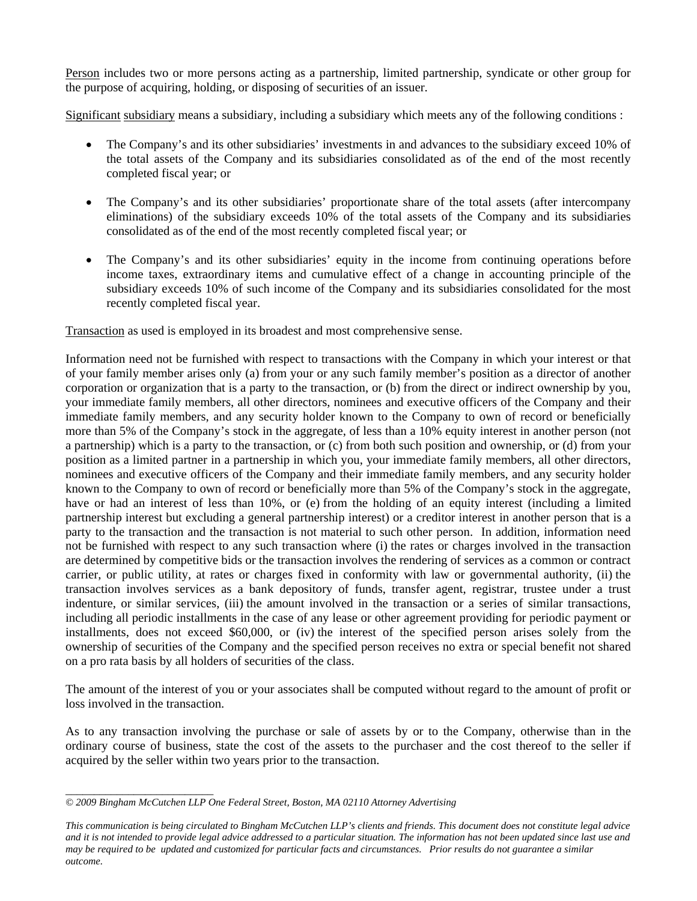Person includes two or more persons acting as a partnership, limited partnership, syndicate or other group for the purpose of acquiring, holding, or disposing of securities of an issuer.

Significant subsidiary means a subsidiary, including a subsidiary which meets any of the following conditions :

- The Company's and its other subsidiaries' investments in and advances to the subsidiary exceed 10% of the total assets of the Company and its subsidiaries consolidated as of the end of the most recently completed fiscal year; or
- The Company's and its other subsidiaries' proportionate share of the total assets (after intercompany eliminations) of the subsidiary exceeds 10% of the total assets of the Company and its subsidiaries consolidated as of the end of the most recently completed fiscal year; or
- The Company's and its other subsidiaries' equity in the income from continuing operations before income taxes, extraordinary items and cumulative effect of a change in accounting principle of the subsidiary exceeds 10% of such income of the Company and its subsidiaries consolidated for the most recently completed fiscal year.

Transaction as used is employed in its broadest and most comprehensive sense.

Information need not be furnished with respect to transactions with the Company in which your interest or that of your family member arises only (a) from your or any such family member's position as a director of another corporation or organization that is a party to the transaction, or (b) from the direct or indirect ownership by you, your immediate family members, all other directors, nominees and executive officers of the Company and their immediate family members, and any security holder known to the Company to own of record or beneficially more than 5% of the Company's stock in the aggregate, of less than a 10% equity interest in another person (not a partnership) which is a party to the transaction, or (c) from both such position and ownership, or (d) from your position as a limited partner in a partnership in which you, your immediate family members, all other directors, nominees and executive officers of the Company and their immediate family members, and any security holder known to the Company to own of record or beneficially more than 5% of the Company's stock in the aggregate, have or had an interest of less than 10%, or (e) from the holding of an equity interest (including a limited partnership interest but excluding a general partnership interest) or a creditor interest in another person that is a party to the transaction and the transaction is not material to such other person. In addition, information need not be furnished with respect to any such transaction where (i) the rates or charges involved in the transaction are determined by competitive bids or the transaction involves the rendering of services as a common or contract carrier, or public utility, at rates or charges fixed in conformity with law or governmental authority, (ii) the transaction involves services as a bank depository of funds, transfer agent, registrar, trustee under a trust indenture, or similar services, (iii) the amount involved in the transaction or a series of similar transactions, including all periodic installments in the case of any lease or other agreement providing for periodic payment or installments, does not exceed \$60,000, or (iv) the interest of the specified person arises solely from the ownership of securities of the Company and the specified person receives no extra or special benefit not shared on a pro rata basis by all holders of securities of the class.

The amount of the interest of you or your associates shall be computed without regard to the amount of profit or loss involved in the transaction.

As to any transaction involving the purchase or sale of assets by or to the Company, otherwise than in the ordinary course of business, state the cost of the assets to the purchaser and the cost thereof to the seller if acquired by the seller within two years prior to the transaction.

*<sup>© 2009</sup> Bingham McCutchen LLP One Federal Street, Boston, MA 02110 Attorney Advertising* 

*This communication is being circulated to Bingham McCutchen LLP's clients and friends. This document does not constitute legal advice and it is not intended to provide legal advice addressed to a particular situation. The information has not been updated since last use and may be required to be updated and customized for particular facts and circumstances. Prior results do not guarantee a similar outcome.*